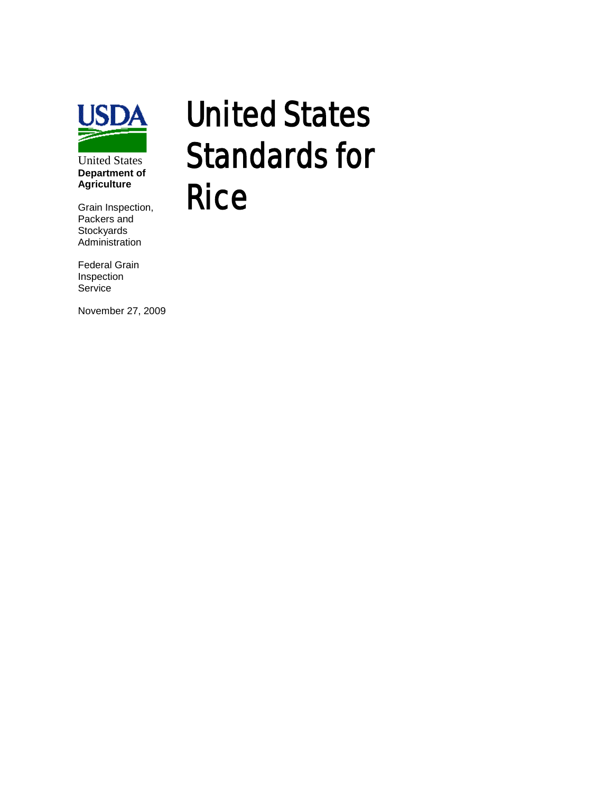

United States **Department of Agriculture**

Grain Inspection, Packers and **Stockyards** Administration

Federal Grain Inspection **Service** 

November 27, 2009

# United States Standards for **Rice**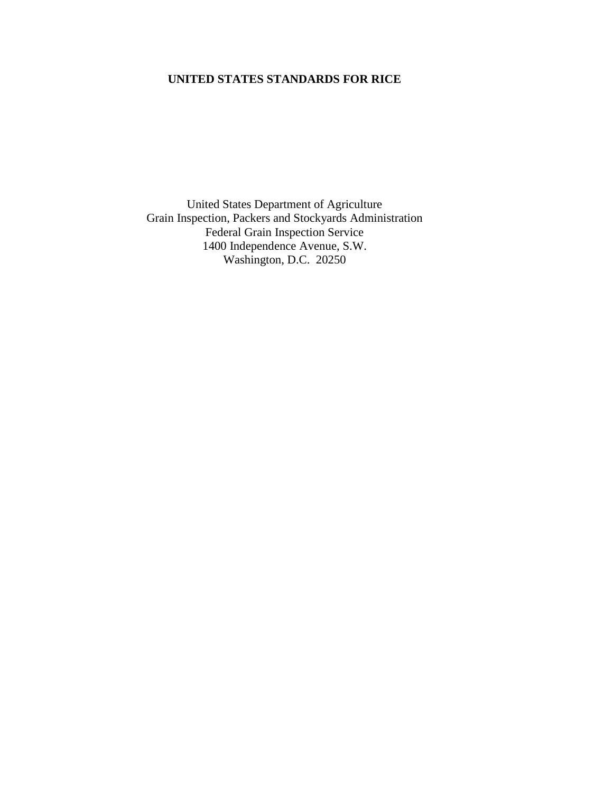## **UNITED STATES STANDARDS FOR RICE**

United States Department of Agriculture Grain Inspection, Packers and Stockyards Administration Federal Grain Inspection Service 1400 Independence Avenue, S.W. Washington, D.C. 20250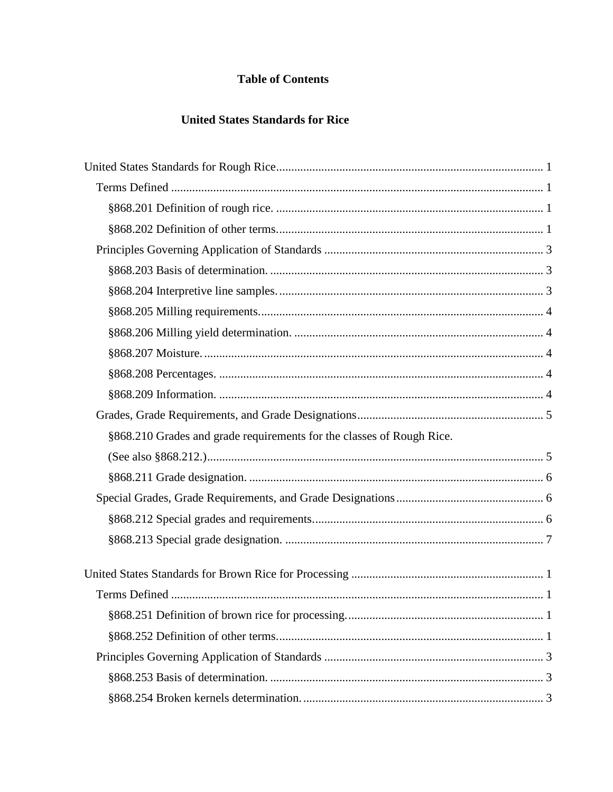## **Table of Contents**

#### **United States Standards for Rice**

| §868.210 Grades and grade requirements for the classes of Rough Rice. |  |
|-----------------------------------------------------------------------|--|
|                                                                       |  |
|                                                                       |  |
|                                                                       |  |
|                                                                       |  |
|                                                                       |  |
|                                                                       |  |
|                                                                       |  |
|                                                                       |  |
|                                                                       |  |
|                                                                       |  |
|                                                                       |  |
|                                                                       |  |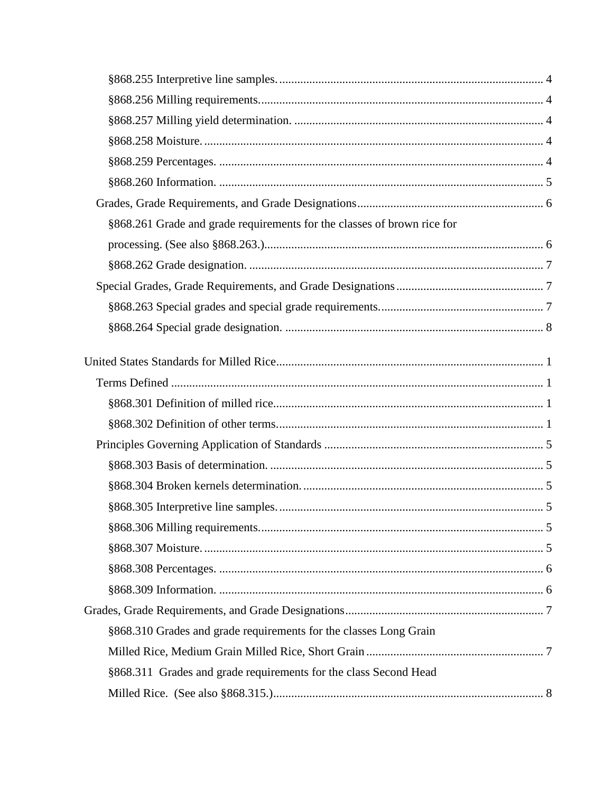| §868.261 Grade and grade requirements for the classes of brown rice for |  |
|-------------------------------------------------------------------------|--|
|                                                                         |  |
|                                                                         |  |
|                                                                         |  |
|                                                                         |  |
|                                                                         |  |
|                                                                         |  |
|                                                                         |  |
|                                                                         |  |
|                                                                         |  |
|                                                                         |  |
|                                                                         |  |
|                                                                         |  |
|                                                                         |  |
|                                                                         |  |
|                                                                         |  |
|                                                                         |  |
|                                                                         |  |
|                                                                         |  |
| §868.310 Grades and grade requirements for the classes Long Grain       |  |
|                                                                         |  |
| §868.311 Grades and grade requirements for the class Second Head        |  |
|                                                                         |  |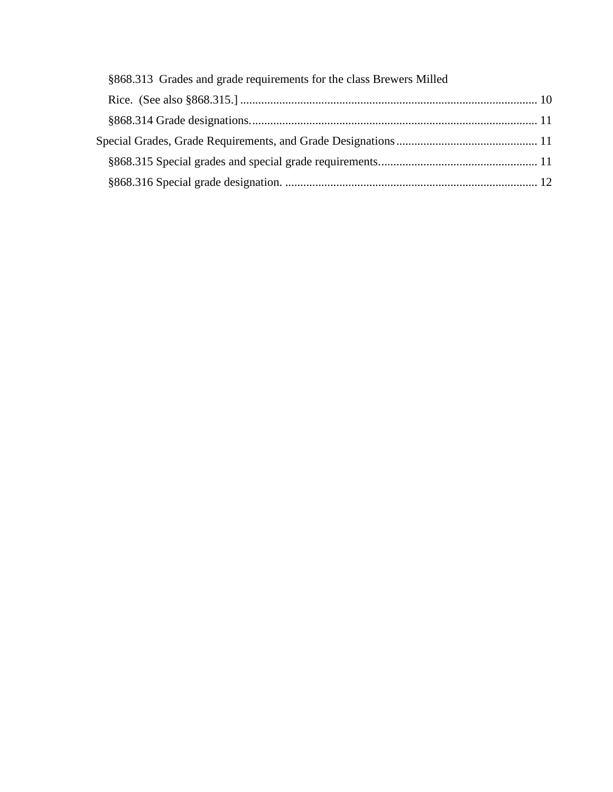| §868.313 Grades and grade requirements for the class Brewers Milled |  |
|---------------------------------------------------------------------|--|
|                                                                     |  |
|                                                                     |  |
|                                                                     |  |
|                                                                     |  |
|                                                                     |  |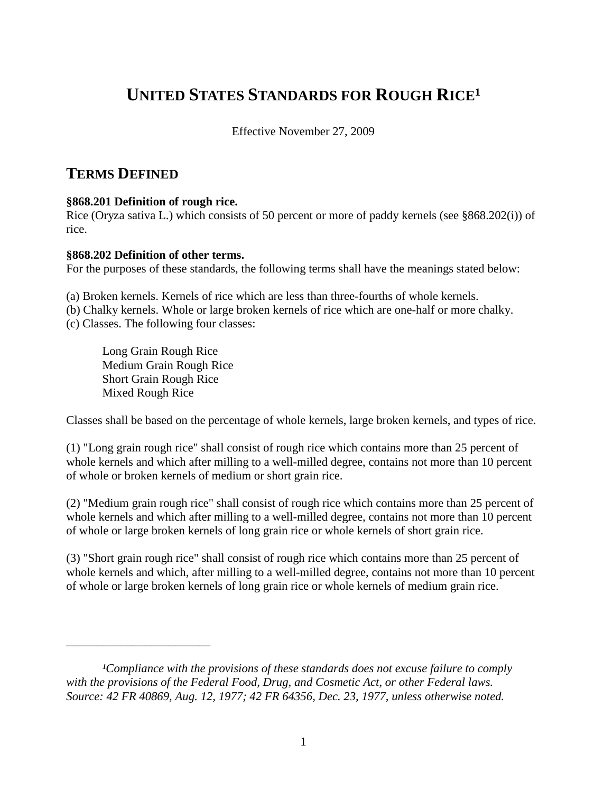# <span id="page-5-0"></span>**UNITED STATES STANDARDS FOR ROUGH RICE<sup>1</sup>**

Effective November 27, 2009

# <span id="page-5-1"></span>**TERMS DEFINED**

#### <span id="page-5-2"></span>**§868.201 Definition of rough rice.**

Rice (Oryza sativa L.) which consists of 50 percent or more of paddy kernels (see §868.202(i)) of rice.

#### <span id="page-5-3"></span>**§868.202 Definition of other terms.**

For the purposes of these standards, the following terms shall have the meanings stated below:

(a) Broken kernels. Kernels of rice which are less than three-fourths of whole kernels.

(b) Chalky kernels. Whole or large broken kernels of rice which are one-half or more chalky.

(c) Classes. The following four classes:

Long Grain Rough Rice Medium Grain Rough Rice Short Grain Rough Rice Mixed Rough Rice

\_\_\_\_\_\_\_\_\_\_\_\_\_\_\_\_\_\_\_\_\_\_\_\_

Classes shall be based on the percentage of whole kernels, large broken kernels, and types of rice.

(1) "Long grain rough rice" shall consist of rough rice which contains more than 25 percent of whole kernels and which after milling to a well-milled degree, contains not more than 10 percent of whole or broken kernels of medium or short grain rice.

(2) "Medium grain rough rice" shall consist of rough rice which contains more than 25 percent of whole kernels and which after milling to a well-milled degree, contains not more than 10 percent of whole or large broken kernels of long grain rice or whole kernels of short grain rice.

(3) "Short grain rough rice" shall consist of rough rice which contains more than 25 percent of whole kernels and which, after milling to a well-milled degree, contains not more than 10 percent of whole or large broken kernels of long grain rice or whole kernels of medium grain rice.

<sup>&</sup>lt;sup>1</sup>Compliance with the provisions of these standards does not excuse failure to comply *with the provisions of the Federal Food, Drug, and Cosmetic Act, or other Federal laws. Source: 42 FR 40869, Aug. 12, 1977; 42 FR 64356, Dec. 23, 1977, unless otherwise noted.*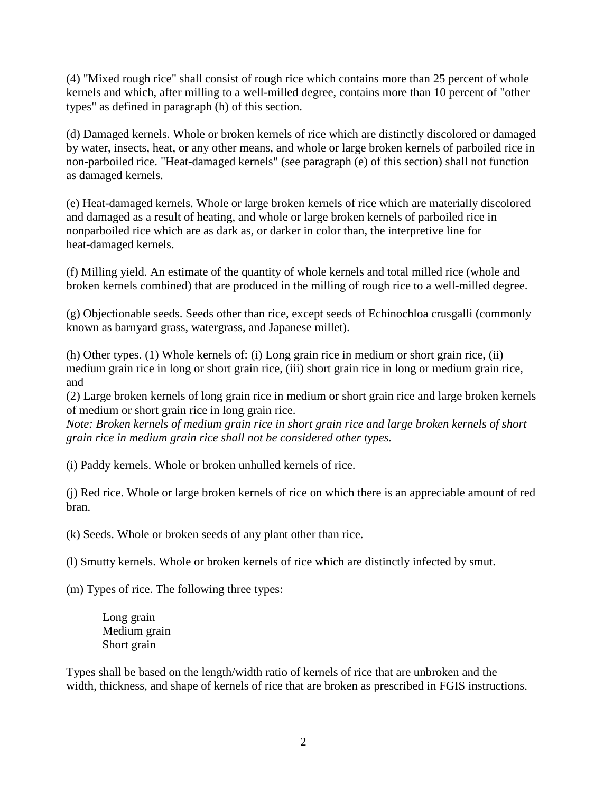(4) "Mixed rough rice" shall consist of rough rice which contains more than 25 percent of whole kernels and which, after milling to a well-milled degree, contains more than 10 percent of "other types" as defined in paragraph (h) of this section.

(d) Damaged kernels. Whole or broken kernels of rice which are distinctly discolored or damaged by water, insects, heat, or any other means, and whole or large broken kernels of parboiled rice in non-parboiled rice. "Heat-damaged kernels" (see paragraph (e) of this section) shall not function as damaged kernels.

(e) Heat-damaged kernels. Whole or large broken kernels of rice which are materially discolored and damaged as a result of heating, and whole or large broken kernels of parboiled rice in nonparboiled rice which are as dark as, or darker in color than, the interpretive line for heat-damaged kernels.

(f) Milling yield. An estimate of the quantity of whole kernels and total milled rice (whole and broken kernels combined) that are produced in the milling of rough rice to a well-milled degree.

(g) Objectionable seeds. Seeds other than rice, except seeds of Echinochloa crusgalli (commonly known as barnyard grass, watergrass, and Japanese millet).

(h) Other types. (1) Whole kernels of: (i) Long grain rice in medium or short grain rice, (ii) medium grain rice in long or short grain rice, (iii) short grain rice in long or medium grain rice, and

(2) Large broken kernels of long grain rice in medium or short grain rice and large broken kernels of medium or short grain rice in long grain rice.

*Note: Broken kernels of medium grain rice in short grain rice and large broken kernels of short grain rice in medium grain rice shall not be considered other types.* 

(i) Paddy kernels. Whole or broken unhulled kernels of rice.

(j) Red rice. Whole or large broken kernels of rice on which there is an appreciable amount of red bran.

(k) Seeds. Whole or broken seeds of any plant other than rice.

(l) Smutty kernels. Whole or broken kernels of rice which are distinctly infected by smut.

(m) Types of rice. The following three types:

Long grain Medium grain Short grain

Types shall be based on the length/width ratio of kernels of rice that are unbroken and the width, thickness, and shape of kernels of rice that are broken as prescribed in FGIS instructions.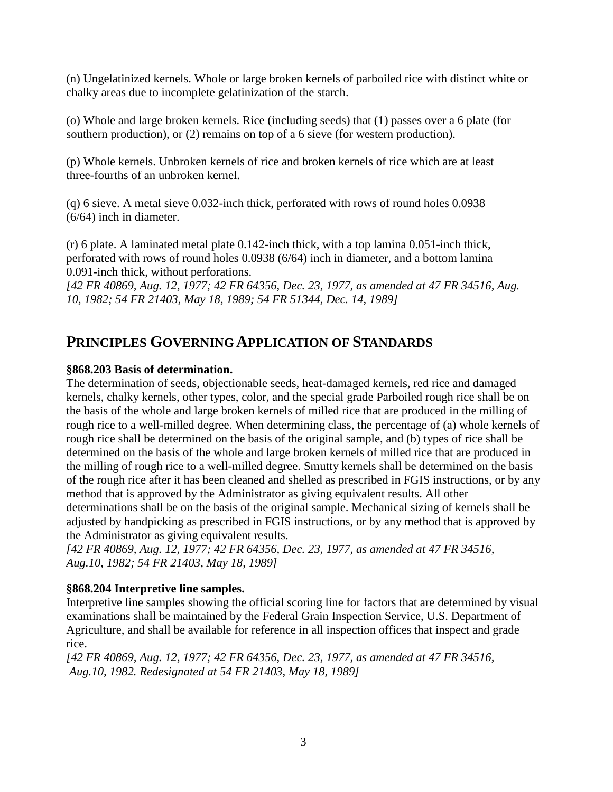(n) Ungelatinized kernels. Whole or large broken kernels of parboiled rice with distinct white or chalky areas due to incomplete gelatinization of the starch.

(o) Whole and large broken kernels. Rice (including seeds) that (1) passes over a 6 plate (for southern production), or (2) remains on top of a 6 sieve (for western production).

(p) Whole kernels. Unbroken kernels of rice and broken kernels of rice which are at least three-fourths of an unbroken kernel.

(q) 6 sieve. A metal sieve 0.032-inch thick, perforated with rows of round holes 0.0938 (6/64) inch in diameter.

(r) 6 plate. A laminated metal plate 0.142-inch thick, with a top lamina 0.051-inch thick, perforated with rows of round holes 0.0938 (6/64) inch in diameter, and a bottom lamina 0.091-inch thick, without perforations.

*[42 FR 40869, Aug. 12, 1977; 42 FR 64356, Dec. 23, 1977, as amended at 47 FR 34516, Aug. 10, 1982; 54 FR 21403, May 18, 1989; 54 FR 51344, Dec. 14, 1989]*

# <span id="page-7-0"></span>**PRINCIPLES GOVERNING APPLICATION OF STANDARDS**

#### <span id="page-7-1"></span>**§868.203 Basis of determination.**

The determination of seeds, objectionable seeds, heat-damaged kernels, red rice and damaged kernels, chalky kernels, other types, color, and the special grade Parboiled rough rice shall be on the basis of the whole and large broken kernels of milled rice that are produced in the milling of rough rice to a well-milled degree. When determining class, the percentage of (a) whole kernels of rough rice shall be determined on the basis of the original sample, and (b) types of rice shall be determined on the basis of the whole and large broken kernels of milled rice that are produced in the milling of rough rice to a well-milled degree. Smutty kernels shall be determined on the basis of the rough rice after it has been cleaned and shelled as prescribed in FGIS instructions, or by any method that is approved by the Administrator as giving equivalent results. All other determinations shall be on the basis of the original sample. Mechanical sizing of kernels shall be adjusted by handpicking as prescribed in FGIS instructions, or by any method that is approved by the Administrator as giving equivalent results.

*[42 FR 40869, Aug. 12, 1977; 42 FR 64356, Dec. 23, 1977, as amended at 47 FR 34516, Aug.10, 1982; 54 FR 21403, May 18, 1989]*

#### <span id="page-7-2"></span>**§868.204 Interpretive line samples.**

Interpretive line samples showing the official scoring line for factors that are determined by visual examinations shall be maintained by the Federal Grain Inspection Service, U.S. Department of Agriculture, and shall be available for reference in all inspection offices that inspect and grade rice.

*[42 FR 40869, Aug. 12, 1977; 42 FR 64356, Dec. 23, 1977, as amended at 47 FR 34516, Aug.10, 1982. Redesignated at 54 FR 21403, May 18, 1989]*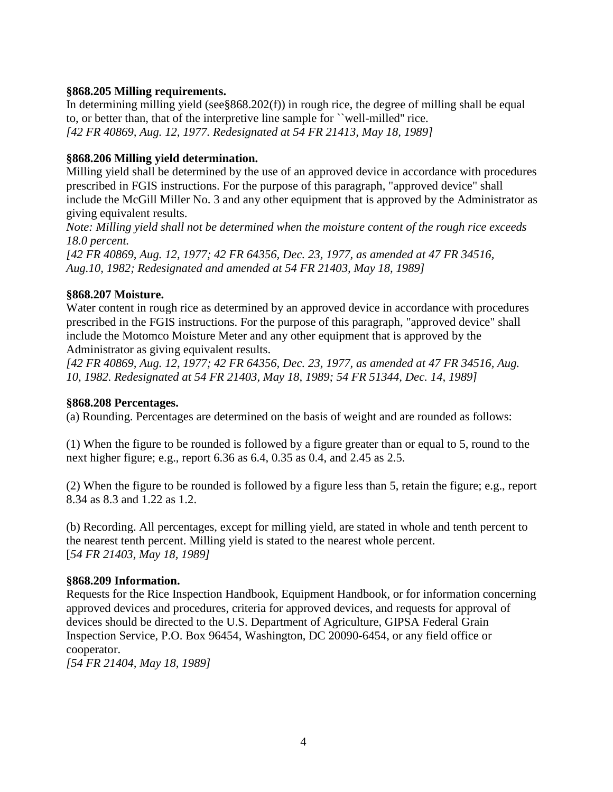#### <span id="page-8-0"></span>**§868.205 Milling requirements.**

In determining milling yield (see§868.202(f)) in rough rice, the degree of milling shall be equal to, or better than, that of the interpretive line sample for ``well-milled'' rice. *[42 FR 40869, Aug. 12, 1977. Redesignated at 54 FR 21413, May 18, 1989]*

#### <span id="page-8-1"></span>**§868.206 Milling yield determination.**

Milling yield shall be determined by the use of an approved device in accordance with procedures prescribed in FGIS instructions. For the purpose of this paragraph, "approved device" shall include the McGill Miller No. 3 and any other equipment that is approved by the Administrator as giving equivalent results.

*Note: Milling yield shall not be determined when the moisture content of the rough rice exceeds 18.0 percent.*

*[42 FR 40869, Aug. 12, 1977; 42 FR 64356, Dec. 23, 1977, as amended at 47 FR 34516, Aug.10, 1982; Redesignated and amended at 54 FR 21403, May 18, 1989]*

#### <span id="page-8-2"></span>**§868.207 Moisture.**

Water content in rough rice as determined by an approved device in accordance with procedures prescribed in the FGIS instructions. For the purpose of this paragraph, "approved device" shall include the Motomco Moisture Meter and any other equipment that is approved by the Administrator as giving equivalent results.

*[42 FR 40869, Aug. 12, 1977; 42 FR 64356, Dec. 23, 1977, as amended at 47 FR 34516, Aug. 10, 1982. Redesignated at 54 FR 21403, May 18, 1989; 54 FR 51344, Dec. 14, 1989]*

#### <span id="page-8-3"></span>**§868.208 Percentages.**

(a) Rounding. Percentages are determined on the basis of weight and are rounded as follows:

(1) When the figure to be rounded is followed by a figure greater than or equal to 5, round to the next higher figure; e.g., report 6.36 as 6.4, 0.35 as 0.4, and 2.45 as 2.5.

(2) When the figure to be rounded is followed by a figure less than 5, retain the figure; e.g., report 8.34 as 8.3 and 1.22 as 1.2.

(b) Recording. All percentages, except for milling yield, are stated in whole and tenth percent to the nearest tenth percent. Milling yield is stated to the nearest whole percent. [*54 FR 21403, May 18, 1989]*

#### <span id="page-8-4"></span>**§868.209 Information.**

Requests for the Rice Inspection Handbook, Equipment Handbook, or for information concerning approved devices and procedures, criteria for approved devices, and requests for approval of devices should be directed to the U.S. Department of Agriculture, GIPSA Federal Grain Inspection Service, P.O. Box 96454, Washington, DC 20090-6454, or any field office or cooperator.

*[54 FR 21404, May 18, 1989]*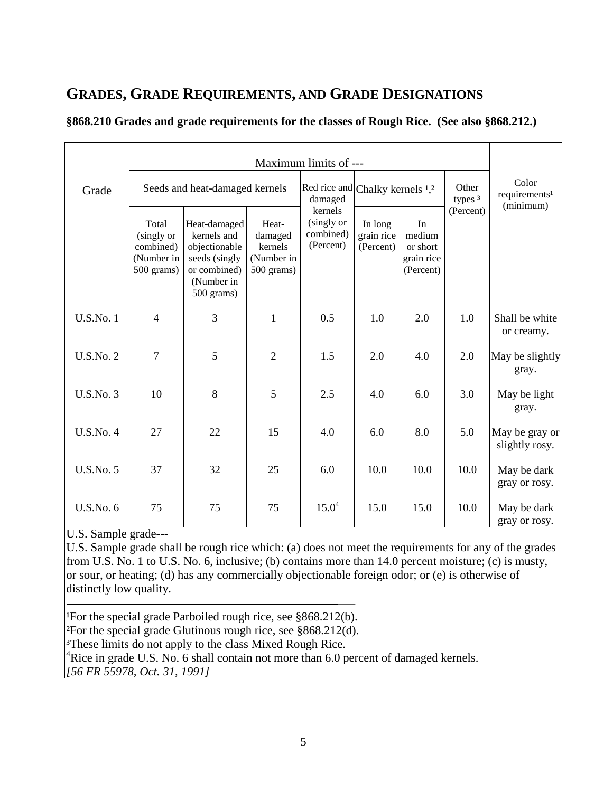# <span id="page-9-0"></span>**GRADES, GRADE REQUIREMENTS, AND GRADE DESIGNATIONS**

| Grade            |                                                              | Seeds and heat-damaged kernels                                                                            |                                                         | Red rice and Chalky kernels <sup>1</sup> , <sup>2</sup><br>damaged |                                    |                                                     | Other<br>types <sup>3</sup> | Color<br>requirements <sup>1</sup><br>(minimum) |
|------------------|--------------------------------------------------------------|-----------------------------------------------------------------------------------------------------------|---------------------------------------------------------|--------------------------------------------------------------------|------------------------------------|-----------------------------------------------------|-----------------------------|-------------------------------------------------|
|                  | Total<br>(singly or<br>combined)<br>(Number in<br>500 grams) | Heat-damaged<br>kernels and<br>objectionable<br>seeds (singly<br>or combined)<br>(Number in<br>500 grams) | Heat-<br>damaged<br>kernels<br>(Number in<br>500 grams) | kernels<br>(singly or<br>combined)<br>(Percent)                    | In long<br>grain rice<br>(Percent) | In<br>medium<br>or short<br>grain rice<br>(Percent) | (Percent)                   |                                                 |
| <b>U.S.No. 1</b> | $\overline{4}$                                               | 3                                                                                                         | $\mathbf{1}$                                            | 0.5                                                                | 1.0                                | 2.0                                                 | 1.0                         | Shall be white<br>or creamy.                    |
| <b>U.S.No. 2</b> | $\overline{7}$                                               | 5                                                                                                         | $\overline{2}$                                          | 1.5                                                                | 2.0                                | 4.0                                                 | 2.0                         | May be slightly<br>gray.                        |
| <b>U.S.No. 3</b> | 10                                                           | 8                                                                                                         | 5                                                       | 2.5                                                                | 4.0                                | 6.0                                                 | 3.0                         | May be light<br>gray.                           |
| <b>U.S.No. 4</b> | 27                                                           | 22                                                                                                        | 15                                                      | 4.0                                                                | 6.0                                | 8.0                                                 | 5.0                         | May be gray or<br>slightly rosy.                |
| <b>U.S.No. 5</b> | 37                                                           | 32                                                                                                        | 25                                                      | 6.0                                                                | 10.0                               | 10.0                                                | 10.0                        | May be dark<br>gray or rosy.                    |
| <b>U.S.No. 6</b> | 75                                                           | 75                                                                                                        | 75                                                      | 15.0 <sup>4</sup>                                                  | 15.0                               | 15.0                                                | 10.0                        | May be dark<br>gray or rosy.                    |

#### <span id="page-9-1"></span>**§868.210 Grades and grade requirements for the classes of Rough Rice. (See also §868.212.)**

U.S. Sample grade---

U.S. Sample grade shall be rough rice which: (a) does not meet the requirements for any of the grades from U.S. No. 1 to U.S. No. 6, inclusive; (b) contains more than 14.0 percent moisture; (c) is musty, or sour, or heating; (d) has any commercially objectionable foreign odor; or (e) is otherwise of distinctly low quality.

<sup>1</sup>For the special grade Parboiled rough rice, see  $§868.212(b)$ .

 ${}^{2}$ For the special grade Glutinous rough rice, see §868.212(d).

<sup>3</sup>These limits do not apply to the class Mixed Rough Rice.

<sup>4</sup>Rice in grade U.S. No. 6 shall contain not more than 6.0 percent of damaged kernels.

*[56 FR 55978, Oct. 31, 1991]*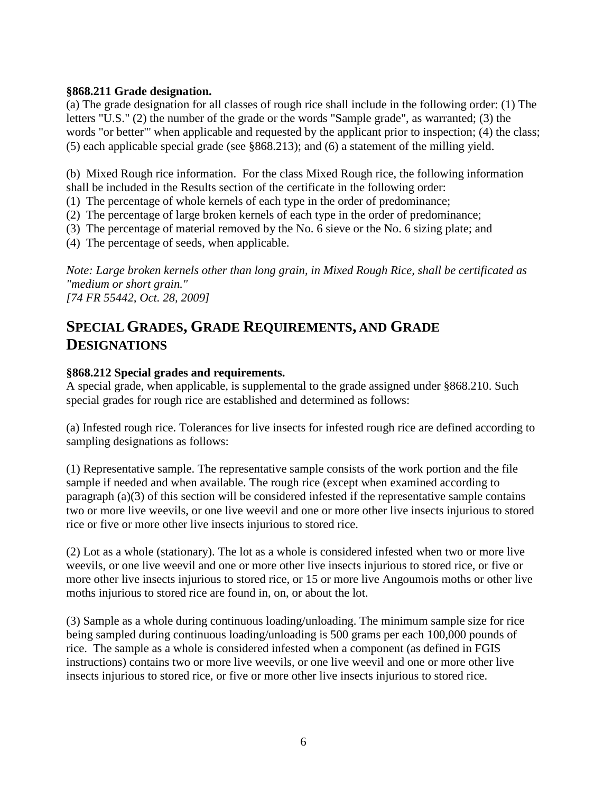#### <span id="page-10-0"></span>**§868.211 Grade designation.**

(a) The grade designation for all classes of rough rice shall include in the following order: (1) The letters "U.S." (2) the number of the grade or the words "Sample grade", as warranted; (3) the words "or better"' when applicable and requested by the applicant prior to inspection; (4) the class; (5) each applicable special grade (see §868.213); and (6) a statement of the milling yield.

(b) Mixed Rough rice information. For the class Mixed Rough rice, the following information shall be included in the Results section of the certificate in the following order:

- (1) The percentage of whole kernels of each type in the order of predominance;
- (2) The percentage of large broken kernels of each type in the order of predominance;
- (3) The percentage of material removed by the No. 6 sieve or the No. 6 sizing plate; and
- (4) The percentage of seeds, when applicable.

*Note: Large broken kernels other than long grain, in Mixed Rough Rice, shall be certificated as "medium or short grain." [74 FR 55442, Oct. 28, 2009]*

# <span id="page-10-1"></span>**SPECIAL GRADES, GRADE REQUIREMENTS, AND GRADE DESIGNATIONS**

#### <span id="page-10-2"></span>**§868.212 Special grades and requirements.**

A special grade, when applicable, is supplemental to the grade assigned under §868.210. Such special grades for rough rice are established and determined as follows:

(a) Infested rough rice. Tolerances for live insects for infested rough rice are defined according to sampling designations as follows:

(1) Representative sample. The representative sample consists of the work portion and the file sample if needed and when available. The rough rice (except when examined according to paragraph (a)(3) of this section will be considered infested if the representative sample contains two or more live weevils, or one live weevil and one or more other live insects injurious to stored rice or five or more other live insects injurious to stored rice.

(2) Lot as a whole (stationary). The lot as a whole is considered infested when two or more live weevils, or one live weevil and one or more other live insects injurious to stored rice, or five or more other live insects injurious to stored rice, or 15 or more live Angoumois moths or other live moths injurious to stored rice are found in, on, or about the lot.

(3) Sample as a whole during continuous loading/unloading. The minimum sample size for rice being sampled during continuous loading/unloading is 500 grams per each 100,000 pounds of rice. The sample as a whole is considered infested when a component (as defined in FGIS instructions) contains two or more live weevils, or one live weevil and one or more other live insects injurious to stored rice, or five or more other live insects injurious to stored rice.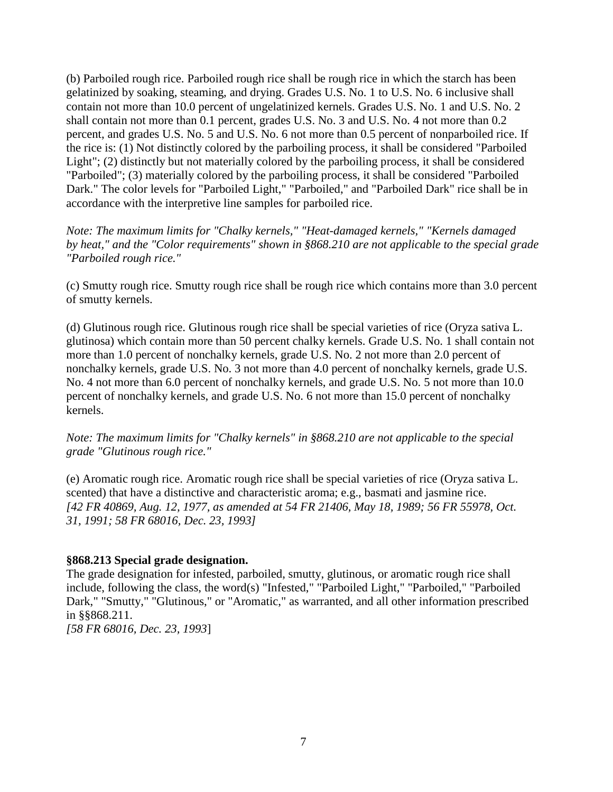(b) Parboiled rough rice. Parboiled rough rice shall be rough rice in which the starch has been gelatinized by soaking, steaming, and drying. Grades U.S. No. 1 to U.S. No. 6 inclusive shall contain not more than 10.0 percent of ungelatinized kernels. Grades U.S. No. 1 and U.S. No. 2 shall contain not more than 0.1 percent, grades U.S. No. 3 and U.S. No. 4 not more than 0.2 percent, and grades U.S. No. 5 and U.S. No. 6 not more than 0.5 percent of nonparboiled rice. If the rice is: (1) Not distinctly colored by the parboiling process, it shall be considered "Parboiled Light"; (2) distinctly but not materially colored by the parboiling process, it shall be considered "Parboiled"; (3) materially colored by the parboiling process, it shall be considered "Parboiled Dark." The color levels for "Parboiled Light," "Parboiled," and "Parboiled Dark" rice shall be in accordance with the interpretive line samples for parboiled rice.

*Note: The maximum limits for "Chalky kernels," "Heat-damaged kernels," "Kernels damaged by heat," and the "Color requirements" shown in §868.210 are not applicable to the special grade "Parboiled rough rice."*

(c) Smutty rough rice. Smutty rough rice shall be rough rice which contains more than 3.0 percent of smutty kernels.

(d) Glutinous rough rice. Glutinous rough rice shall be special varieties of rice (Oryza sativa L. glutinosa) which contain more than 50 percent chalky kernels. Grade U.S. No. 1 shall contain not more than 1.0 percent of nonchalky kernels, grade U.S. No. 2 not more than 2.0 percent of nonchalky kernels, grade U.S. No. 3 not more than 4.0 percent of nonchalky kernels, grade U.S. No. 4 not more than 6.0 percent of nonchalky kernels, and grade U.S. No. 5 not more than 10.0 percent of nonchalky kernels, and grade U.S. No. 6 not more than 15.0 percent of nonchalky kernels.

*Note: The maximum limits for "Chalky kernels" in §868.210 are not applicable to the special grade "Glutinous rough rice."*

(e) Aromatic rough rice. Aromatic rough rice shall be special varieties of rice (Oryza sativa L. scented) that have a distinctive and characteristic aroma; e.g., basmati and jasmine rice. *[42 FR 40869, Aug. 12, 1977, as amended at 54 FR 21406, May 18, 1989; 56 FR 55978, Oct. 31, 1991; 58 FR 68016, Dec. 23, 1993]*

#### <span id="page-11-0"></span>**§868.213 Special grade designation.**

The grade designation for infested, parboiled, smutty, glutinous, or aromatic rough rice shall include, following the class, the word(s) "Infested," "Parboiled Light," "Parboiled," "Parboiled Dark," "Smutty," "Glutinous," or "Aromatic," as warranted, and all other information prescribed in §§868.211.

*[58 FR 68016, Dec. 23, 1993*]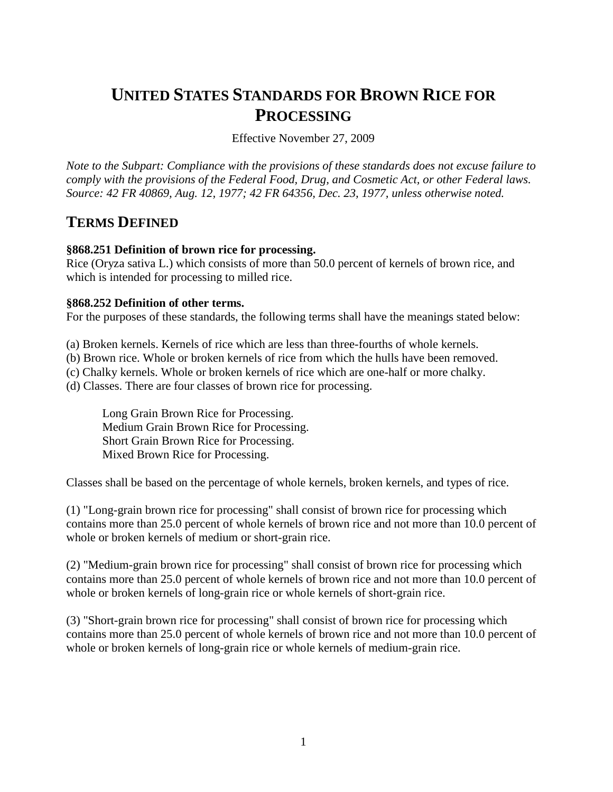# <span id="page-12-0"></span>**UNITED STATES STANDARDS FOR BROWN RICE FOR PROCESSING**

Effective November 27, 2009

*Note to the Subpart: Compliance with the provisions of these standards does not excuse failure to comply with the provisions of the Federal Food, Drug, and Cosmetic Act, or other Federal laws. Source: 42 FR 40869, Aug. 12, 1977; 42 FR 64356, Dec. 23, 1977, unless otherwise noted.*

#### <span id="page-12-1"></span>**TERMS DEFINED**

#### <span id="page-12-2"></span>**§868.251 Definition of brown rice for processing.**

Rice (Oryza sativa L.) which consists of more than 50.0 percent of kernels of brown rice, and which is intended for processing to milled rice.

#### <span id="page-12-3"></span>**§868.252 Definition of other terms.**

For the purposes of these standards, the following terms shall have the meanings stated below:

- (a) Broken kernels. Kernels of rice which are less than three-fourths of whole kernels.
- (b) Brown rice. Whole or broken kernels of rice from which the hulls have been removed.
- (c) Chalky kernels. Whole or broken kernels of rice which are one-half or more chalky.
- (d) Classes. There are four classes of brown rice for processing.

Long Grain Brown Rice for Processing. Medium Grain Brown Rice for Processing. Short Grain Brown Rice for Processing. Mixed Brown Rice for Processing.

Classes shall be based on the percentage of whole kernels, broken kernels, and types of rice.

(1) "Long-grain brown rice for processing" shall consist of brown rice for processing which contains more than 25.0 percent of whole kernels of brown rice and not more than 10.0 percent of whole or broken kernels of medium or short-grain rice.

(2) "Medium-grain brown rice for processing" shall consist of brown rice for processing which contains more than 25.0 percent of whole kernels of brown rice and not more than 10.0 percent of whole or broken kernels of long-grain rice or whole kernels of short-grain rice.

(3) "Short-grain brown rice for processing" shall consist of brown rice for processing which contains more than 25.0 percent of whole kernels of brown rice and not more than 10.0 percent of whole or broken kernels of long-grain rice or whole kernels of medium-grain rice.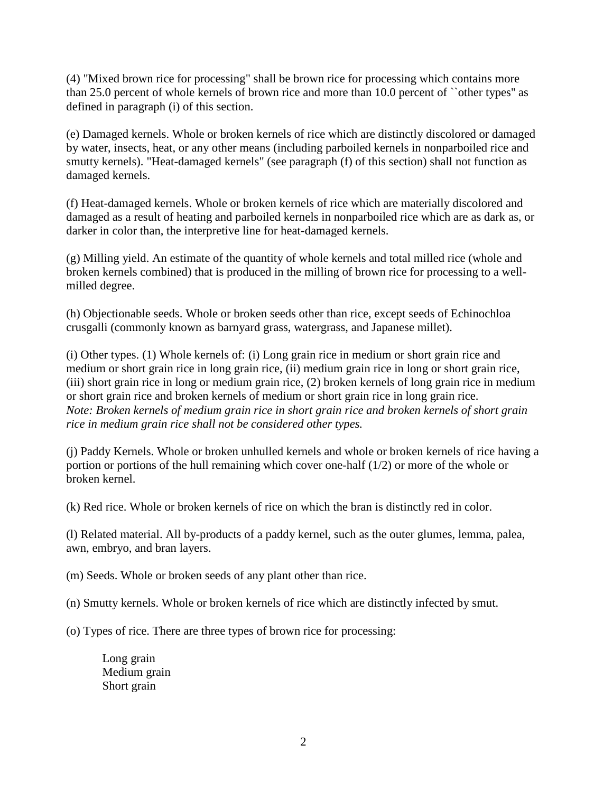(4) "Mixed brown rice for processing" shall be brown rice for processing which contains more than 25.0 percent of whole kernels of brown rice and more than 10.0 percent of ``other types'' as defined in paragraph (i) of this section.

(e) Damaged kernels. Whole or broken kernels of rice which are distinctly discolored or damaged by water, insects, heat, or any other means (including parboiled kernels in nonparboiled rice and smutty kernels). "Heat-damaged kernels" (see paragraph (f) of this section) shall not function as damaged kernels.

(f) Heat-damaged kernels. Whole or broken kernels of rice which are materially discolored and damaged as a result of heating and parboiled kernels in nonparboiled rice which are as dark as, or darker in color than, the interpretive line for heat-damaged kernels.

(g) Milling yield. An estimate of the quantity of whole kernels and total milled rice (whole and broken kernels combined) that is produced in the milling of brown rice for processing to a wellmilled degree.

(h) Objectionable seeds. Whole or broken seeds other than rice, except seeds of Echinochloa crusgalli (commonly known as barnyard grass, watergrass, and Japanese millet).

(i) Other types. (1) Whole kernels of: (i) Long grain rice in medium or short grain rice and medium or short grain rice in long grain rice, (ii) medium grain rice in long or short grain rice, (iii) short grain rice in long or medium grain rice, (2) broken kernels of long grain rice in medium or short grain rice and broken kernels of medium or short grain rice in long grain rice. *Note: Broken kernels of medium grain rice in short grain rice and broken kernels of short grain rice in medium grain rice shall not be considered other types.* 

(j) Paddy Kernels. Whole or broken unhulled kernels and whole or broken kernels of rice having a portion or portions of the hull remaining which cover one-half (1/2) or more of the whole or broken kernel.

(k) Red rice. Whole or broken kernels of rice on which the bran is distinctly red in color.

(l) Related material. All by-products of a paddy kernel, such as the outer glumes, lemma, palea, awn, embryo, and bran layers.

(m) Seeds. Whole or broken seeds of any plant other than rice.

(n) Smutty kernels. Whole or broken kernels of rice which are distinctly infected by smut.

(o) Types of rice. There are three types of brown rice for processing:

Long grain Medium grain Short grain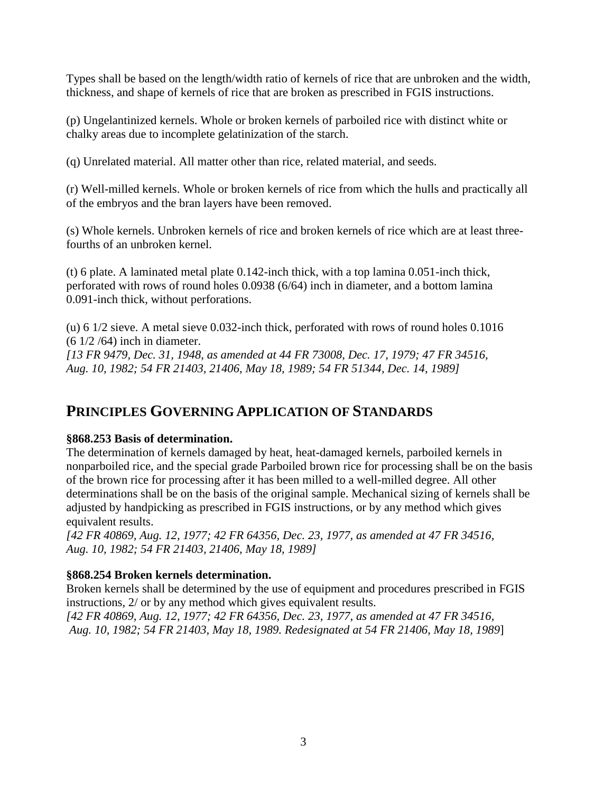Types shall be based on the length/width ratio of kernels of rice that are unbroken and the width, thickness, and shape of kernels of rice that are broken as prescribed in FGIS instructions.

(p) Ungelantinized kernels. Whole or broken kernels of parboiled rice with distinct white or chalky areas due to incomplete gelatinization of the starch.

(q) Unrelated material. All matter other than rice, related material, and seeds.

(r) Well-milled kernels. Whole or broken kernels of rice from which the hulls and practically all of the embryos and the bran layers have been removed.

(s) Whole kernels. Unbroken kernels of rice and broken kernels of rice which are at least threefourths of an unbroken kernel.

(t) 6 plate. A laminated metal plate 0.142-inch thick, with a top lamina 0.051-inch thick, perforated with rows of round holes 0.0938 (6/64) inch in diameter, and a bottom lamina 0.091-inch thick, without perforations.

(u) 6 1/2 sieve. A metal sieve 0.032-inch thick, perforated with rows of round holes 0.1016 (6 1/2 /64) inch in diameter.

*[13 FR 9479, Dec. 31, 1948, as amended at 44 FR 73008, Dec. 17, 1979; 47 FR 34516, Aug. 10, 1982; 54 FR 21403, 21406, May 18, 1989; 54 FR 51344, Dec. 14, 1989]*

# <span id="page-14-0"></span>**PRINCIPLES GOVERNING APPLICATION OF STANDARDS**

#### <span id="page-14-1"></span>**§868.253 Basis of determination.**

The determination of kernels damaged by heat, heat-damaged kernels, parboiled kernels in nonparboiled rice, and the special grade Parboiled brown rice for processing shall be on the basis of the brown rice for processing after it has been milled to a well-milled degree. All other determinations shall be on the basis of the original sample. Mechanical sizing of kernels shall be adjusted by handpicking as prescribed in FGIS instructions, or by any method which gives equivalent results.

*[42 FR 40869, Aug. 12, 1977; 42 FR 64356, Dec. 23, 1977, as amended at 47 FR 34516, Aug. 10, 1982; 54 FR 21403, 21406, May 18, 1989]*

## <span id="page-14-2"></span>**§868.254 Broken kernels determination.**

Broken kernels shall be determined by the use of equipment and procedures prescribed in FGIS instructions, 2/ or by any method which gives equivalent results.

*[42 FR 40869, Aug. 12, 1977; 42 FR 64356, Dec. 23, 1977, as amended at 47 FR 34516, Aug. 10, 1982; 54 FR 21403, May 18, 1989. Redesignated at 54 FR 21406, May 18, 1989*]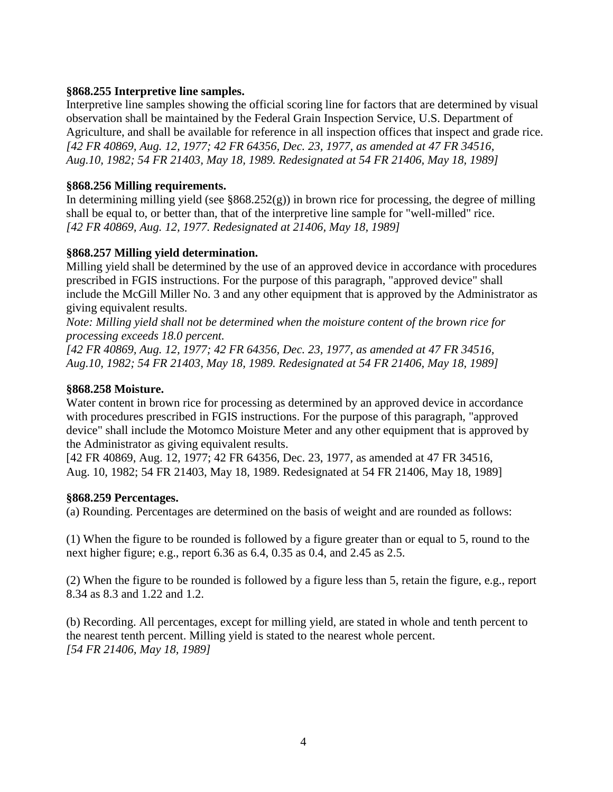#### <span id="page-15-0"></span>**§868.255 Interpretive line samples.**

Interpretive line samples showing the official scoring line for factors that are determined by visual observation shall be maintained by the Federal Grain Inspection Service, U.S. Department of Agriculture, and shall be available for reference in all inspection offices that inspect and grade rice. *[42 FR 40869, Aug. 12, 1977; 42 FR 64356, Dec. 23, 1977, as amended at 47 FR 34516, Aug.10, 1982; 54 FR 21403, May 18, 1989. Redesignated at 54 FR 21406, May 18, 1989]*

#### <span id="page-15-1"></span>**§868.256 Milling requirements.**

In determining milling yield (see  $\S 868.252(g)$ ) in brown rice for processing, the degree of milling shall be equal to, or better than, that of the interpretive line sample for "well-milled" rice. *[42 FR 40869, Aug. 12, 1977. Redesignated at 21406, May 18, 1989]* 

#### <span id="page-15-2"></span>**§868.257 Milling yield determination.**

Milling yield shall be determined by the use of an approved device in accordance with procedures prescribed in FGIS instructions. For the purpose of this paragraph, "approved device" shall include the McGill Miller No. 3 and any other equipment that is approved by the Administrator as giving equivalent results.

*Note: Milling yield shall not be determined when the moisture content of the brown rice for processing exceeds 18.0 percent.*

*[42 FR 40869, Aug. 12, 1977; 42 FR 64356, Dec. 23, 1977, as amended at 47 FR 34516, Aug.10, 1982; 54 FR 21403, May 18, 1989. Redesignated at 54 FR 21406, May 18, 1989]*

#### <span id="page-15-3"></span>**§868.258 Moisture.**

Water content in brown rice for processing as determined by an approved device in accordance with procedures prescribed in FGIS instructions. For the purpose of this paragraph, "approved device" shall include the Motomco Moisture Meter and any other equipment that is approved by the Administrator as giving equivalent results.

[42 FR 40869, Aug. 12, 1977; 42 FR 64356, Dec. 23, 1977, as amended at 47 FR 34516, Aug. 10, 1982; 54 FR 21403, May 18, 1989. Redesignated at 54 FR 21406, May 18, 1989]

#### <span id="page-15-4"></span>**§868.259 Percentages.**

(a) Rounding. Percentages are determined on the basis of weight and are rounded as follows:

(1) When the figure to be rounded is followed by a figure greater than or equal to 5, round to the next higher figure; e.g., report 6.36 as 6.4, 0.35 as 0.4, and 2.45 as 2.5.

(2) When the figure to be rounded is followed by a figure less than 5, retain the figure, e.g., report 8.34 as 8.3 and 1.22 and 1.2.

(b) Recording. All percentages, except for milling yield, are stated in whole and tenth percent to the nearest tenth percent. Milling yield is stated to the nearest whole percent. *[54 FR 21406, May 18, 1989]*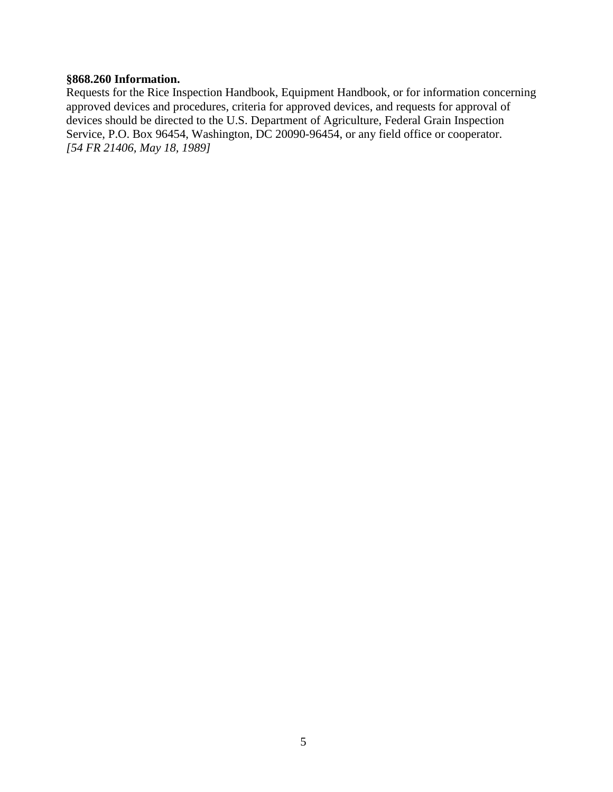#### <span id="page-16-0"></span>**§868.260 Information.**

Requests for the Rice Inspection Handbook, Equipment Handbook, or for information concerning approved devices and procedures, criteria for approved devices, and requests for approval of devices should be directed to the U.S. Department of Agriculture, Federal Grain Inspection Service, P.O. Box 96454, Washington, DC 20090-96454, or any field office or cooperator. *[54 FR 21406, May 18, 1989]*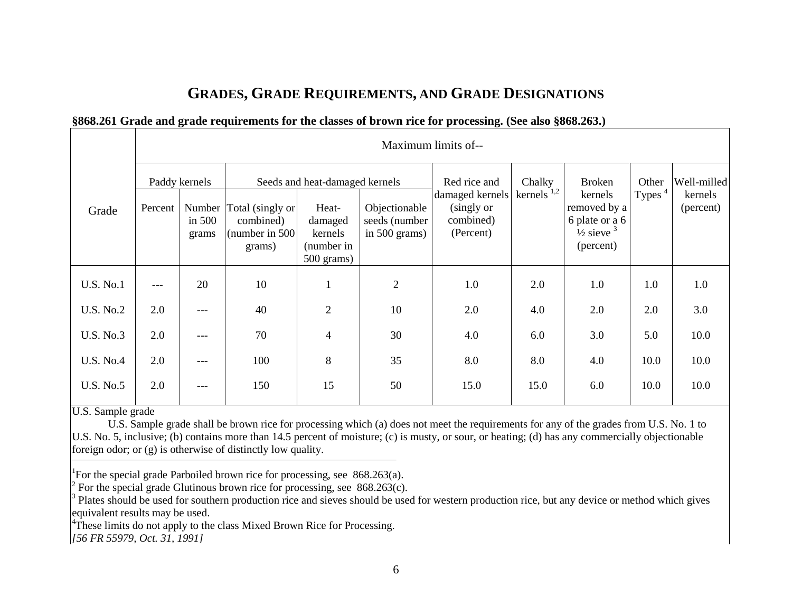# **GRADES, GRADE REQUIREMENTS, AND GRADE DESIGNATIONS**

|  |  |  |  | §868.261 Grade and grade requirements for the classes of brown rice for processing. (See also §868.263.) |  |
|--|--|--|--|----------------------------------------------------------------------------------------------------------|--|
|  |  |  |  |                                                                                                          |  |

<span id="page-17-0"></span>

|                  |                                                 | Maximum limits of-- |                                      |                                       |                                |                                            |               |                                                |           |                      |
|------------------|-------------------------------------------------|---------------------|--------------------------------------|---------------------------------------|--------------------------------|--------------------------------------------|---------------|------------------------------------------------|-----------|----------------------|
|                  | Paddy kernels<br>Seeds and heat-damaged kernels |                     |                                      |                                       |                                | Red rice and                               | Chalky        | <b>Broken</b>                                  | Other     | Well-milled          |
| Grade            | Percent                                         | in 500              | Number Total (singly or<br>combined) | Heat-<br>damaged                      | Objectionable<br>seeds (number | damaged kernels<br>(singly or<br>combined) | kernels $1,2$ | kernels<br>removed by a<br>6 plate or a 6      | Types $4$ | kernels<br>(percent) |
|                  |                                                 | grams               | (number in $500$ )<br>grams)         | kernels<br>(number in<br>$500$ grams) | in $500$ grams)                | (Percent)                                  |               | $\frac{1}{2}$ sieve $\frac{3}{2}$<br>(percent) |           |                      |
| <b>U.S. No.1</b> | $---$                                           | 20                  | 10                                   | 1                                     | 2                              | 1.0                                        | 2.0           | 1.0                                            | 1.0       | 1.0                  |
| <b>U.S. No.2</b> | 2.0                                             | $---$               | 40                                   | $\overline{2}$                        | 10                             | 2.0                                        | 4.0           | 2.0                                            | 2.0       | 3.0                  |
| <b>U.S. No.3</b> | 2.0                                             | $---$               | 70                                   | $\overline{4}$                        | 30                             | 4.0                                        | 6.0           | 3.0                                            | 5.0       | 10.0                 |
| <b>U.S. No.4</b> | 2.0                                             | $---$               | 100                                  | 8                                     | 35                             | 8.0                                        | 8.0           | 4.0                                            | 10.0      | 10.0                 |
| <b>U.S. No.5</b> | 2.0                                             | $---$               | 150                                  | 15                                    | 50                             | 15.0                                       | 15.0          | 6.0                                            | 10.0      | 10.0                 |
|                  |                                                 |                     |                                      |                                       |                                |                                            |               |                                                |           |                      |

<span id="page-17-1"></span>U.S. Sample grade

U.S. Sample grade shall be brown rice for processing which (a) does not meet the requirements for any of the grades from U.S. No. 1 to U.S. No. 5, inclusive; (b) contains more than 14.5 percent of moisture; (c) is musty, or sour, or heating; (d) has any commercially objectionable foreign odor; or (g) is otherwise of distinctly low quality.

<sup>1</sup>For the special grade Parboiled brown rice for processing, see  $868.263(a)$ .

<sup>2</sup> For the special grade Glutinous brown rice for processing, see 868.263(c).

<sup>3</sup> Plates should be used for southern production rice and sieves should be used for western production rice, but any device or method which gives equivalent results may be used.

<sup>4</sup>These limits do not apply to the class Mixed Brown Rice for Processing.

*[56 FR 55979, Oct. 31, 1991]*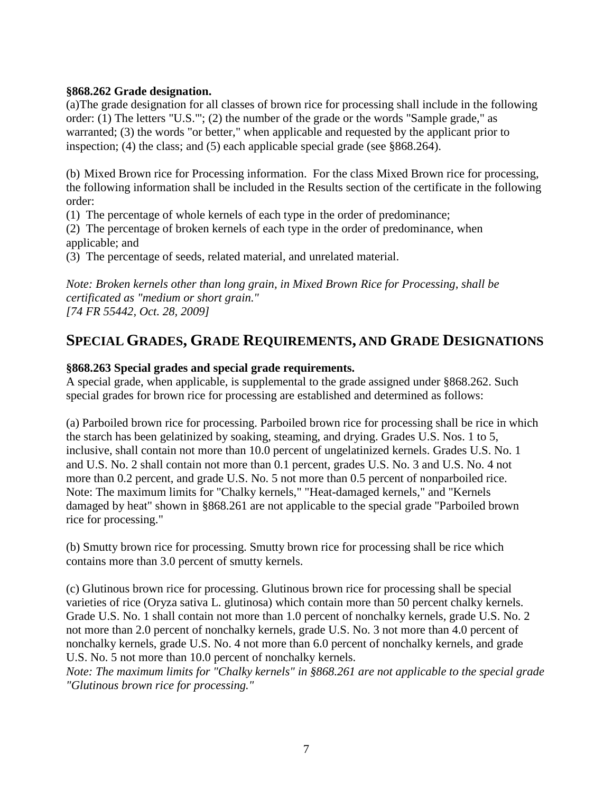#### <span id="page-18-0"></span>**§868.262 Grade designation.**

<span id="page-18-1"></span>(a)The grade designation for all classes of brown rice for processing shall include in the following order: (1) The letters "U.S."'; (2) the number of the grade or the words "Sample grade," as warranted; (3) the words "or better," when applicable and requested by the applicant prior to inspection; (4) the class; and (5) each applicable special grade (see §868.264).

(b) Mixed Brown rice for Processing information. For the class Mixed Brown rice for processing, the following information shall be included in the Results section of the certificate in the following order:

(1) The percentage of whole kernels of each type in the order of predominance;

(2) The percentage of broken kernels of each type in the order of predominance, when applicable; and

(3) The percentage of seeds, related material, and unrelated material.

*Note: Broken kernels other than long grain, in Mixed Brown Rice for Processing, shall be certificated as "medium or short grain." [74 FR 55442, Oct. 28, 2009]*

## **SPECIAL GRADES, GRADE REQUIREMENTS, AND GRADE DESIGNATIONS**

#### <span id="page-18-2"></span>**§868.263 Special grades and special grade requirements.**

A special grade, when applicable, is supplemental to the grade assigned under §868.262. Such special grades for brown rice for processing are established and determined as follows:

(a) Parboiled brown rice for processing. Parboiled brown rice for processing shall be rice in which the starch has been gelatinized by soaking, steaming, and drying. Grades U.S. Nos. 1 to 5, inclusive, shall contain not more than 10.0 percent of ungelatinized kernels. Grades U.S. No. 1 and U.S. No. 2 shall contain not more than 0.1 percent, grades U.S. No. 3 and U.S. No. 4 not more than 0.2 percent, and grade U.S. No. 5 not more than 0.5 percent of nonparboiled rice. Note: The maximum limits for "Chalky kernels," "Heat-damaged kernels," and "Kernels damaged by heat" shown in §868.261 are not applicable to the special grade "Parboiled brown rice for processing."

(b) Smutty brown rice for processing. Smutty brown rice for processing shall be rice which contains more than 3.0 percent of smutty kernels.

(c) Glutinous brown rice for processing. Glutinous brown rice for processing shall be special varieties of rice (Oryza sativa L. glutinosa) which contain more than 50 percent chalky kernels. Grade U.S. No. 1 shall contain not more than 1.0 percent of nonchalky kernels, grade U.S. No. 2 not more than 2.0 percent of nonchalky kernels, grade U.S. No. 3 not more than 4.0 percent of nonchalky kernels, grade U.S. No. 4 not more than 6.0 percent of nonchalky kernels, and grade U.S. No. 5 not more than 10.0 percent of nonchalky kernels.

*Note: The maximum limits for "Chalky kernels" in §868.261 are not applicable to the special grade "Glutinous brown rice for processing."*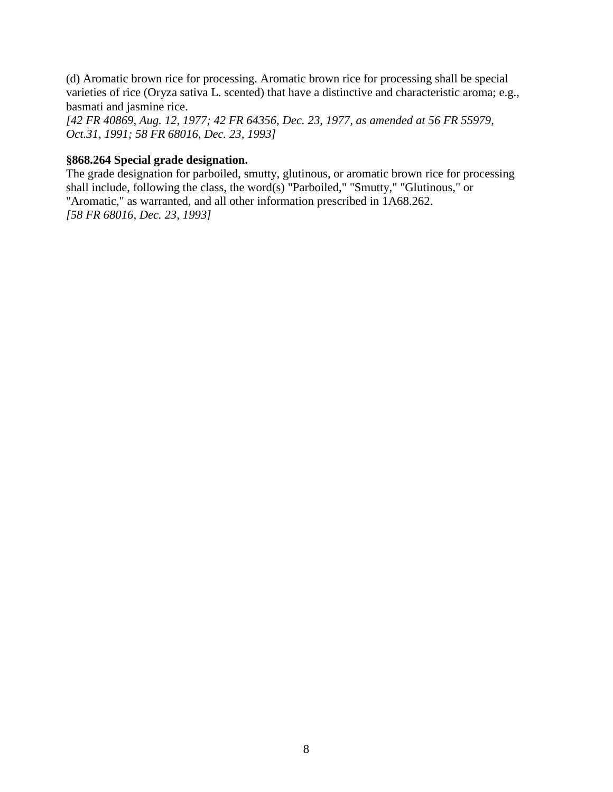(d) Aromatic brown rice for processing. Aromatic brown rice for processing shall be special varieties of rice (Oryza sativa L. scented) that have a distinctive and characteristic aroma; e.g., basmati and jasmine rice.

*[42 FR 40869, Aug. 12, 1977; 42 FR 64356, Dec. 23, 1977, as amended at 56 FR 55979, Oct.31, 1991; 58 FR 68016, Dec. 23, 1993]*

#### <span id="page-19-0"></span>**§868.264 Special grade designation.**

The grade designation for parboiled, smutty, glutinous, or aromatic brown rice for processing shall include, following the class, the word(s) "Parboiled," "Smutty," "Glutinous," or "Aromatic," as warranted, and all other information prescribed in 1A68.262. *[58 FR 68016, Dec. 23, 1993]*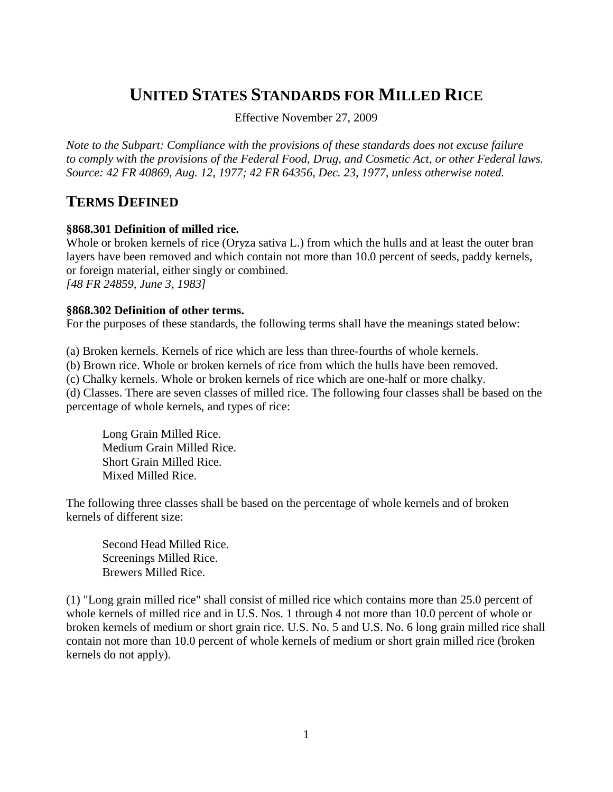# <span id="page-20-0"></span>**UNITED STATES STANDARDS FOR MILLED RICE**

Effective November 27, 2009

*Note to the Subpart: Compliance with the provisions of these standards does not excuse failure to comply with the provisions of the Federal Food, Drug, and Cosmetic Act, or other Federal laws. Source: 42 FR 40869, Aug. 12, 1977; 42 FR 64356, Dec. 23, 1977, unless otherwise noted.* 

## <span id="page-20-1"></span>**TERMS DEFINED**

#### <span id="page-20-2"></span>**§868.301 Definition of milled rice.**

Whole or broken kernels of rice (Oryza sativa L.) from which the hulls and at least the outer bran layers have been removed and which contain not more than 10.0 percent of seeds, paddy kernels, or foreign material, either singly or combined. *[48 FR 24859, June 3, 1983]*

#### <span id="page-20-3"></span>**§868.302 Definition of other terms.**

For the purposes of these standards, the following terms shall have the meanings stated below:

(a) Broken kernels. Kernels of rice which are less than three-fourths of whole kernels.

(b) Brown rice. Whole or broken kernels of rice from which the hulls have been removed.

(c) Chalky kernels. Whole or broken kernels of rice which are one-half or more chalky.

(d) Classes. There are seven classes of milled rice. The following four classes shall be based on the percentage of whole kernels, and types of rice:

Long Grain Milled Rice. Medium Grain Milled Rice. Short Grain Milled Rice. Mixed Milled Rice.

The following three classes shall be based on the percentage of whole kernels and of broken kernels of different size:

Second Head Milled Rice. Screenings Milled Rice. Brewers Milled Rice.

(1) "Long grain milled rice" shall consist of milled rice which contains more than 25.0 percent of whole kernels of milled rice and in U.S. Nos. 1 through 4 not more than 10.0 percent of whole or broken kernels of medium or short grain rice. U.S. No. 5 and U.S. No. 6 long grain milled rice shall contain not more than 10.0 percent of whole kernels of medium or short grain milled rice (broken kernels do not apply).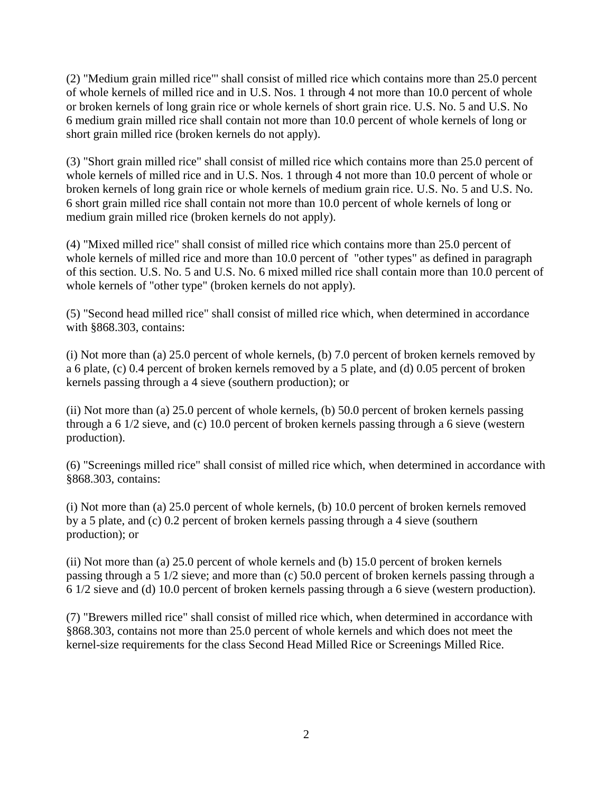(2) "Medium grain milled rice"' shall consist of milled rice which contains more than 25.0 percent of whole kernels of milled rice and in U.S. Nos. 1 through 4 not more than 10.0 percent of whole or broken kernels of long grain rice or whole kernels of short grain rice. U.S. No. 5 and U.S. No 6 medium grain milled rice shall contain not more than 10.0 percent of whole kernels of long or short grain milled rice (broken kernels do not apply).

(3) "Short grain milled rice" shall consist of milled rice which contains more than 25.0 percent of whole kernels of milled rice and in U.S. Nos. 1 through 4 not more than 10.0 percent of whole or broken kernels of long grain rice or whole kernels of medium grain rice. U.S. No. 5 and U.S. No. 6 short grain milled rice shall contain not more than 10.0 percent of whole kernels of long or medium grain milled rice (broken kernels do not apply).

(4) "Mixed milled rice" shall consist of milled rice which contains more than 25.0 percent of whole kernels of milled rice and more than 10.0 percent of "other types" as defined in paragraph of this section. U.S. No. 5 and U.S. No. 6 mixed milled rice shall contain more than 10.0 percent of whole kernels of "other type" (broken kernels do not apply).

(5) "Second head milled rice" shall consist of milled rice which, when determined in accordance with §868.303, contains:

(i) Not more than (a) 25.0 percent of whole kernels, (b) 7.0 percent of broken kernels removed by a 6 plate, (c) 0.4 percent of broken kernels removed by a 5 plate, and (d) 0.05 percent of broken kernels passing through a 4 sieve (southern production); or

(ii) Not more than (a) 25.0 percent of whole kernels, (b) 50.0 percent of broken kernels passing through a 6 1/2 sieve, and (c) 10.0 percent of broken kernels passing through a 6 sieve (western production).

(6) "Screenings milled rice" shall consist of milled rice which, when determined in accordance with §868.303, contains:

(i) Not more than (a) 25.0 percent of whole kernels, (b) 10.0 percent of broken kernels removed by a 5 plate, and (c) 0.2 percent of broken kernels passing through a 4 sieve (southern production); or

(ii) Not more than (a) 25.0 percent of whole kernels and (b) 15.0 percent of broken kernels passing through a 5 1/2 sieve; and more than (c) 50.0 percent of broken kernels passing through a 6 1/2 sieve and (d) 10.0 percent of broken kernels passing through a 6 sieve (western production).

(7) "Brewers milled rice" shall consist of milled rice which, when determined in accordance with §868.303, contains not more than 25.0 percent of whole kernels and which does not meet the kernel-size requirements for the class Second Head Milled Rice or Screenings Milled Rice.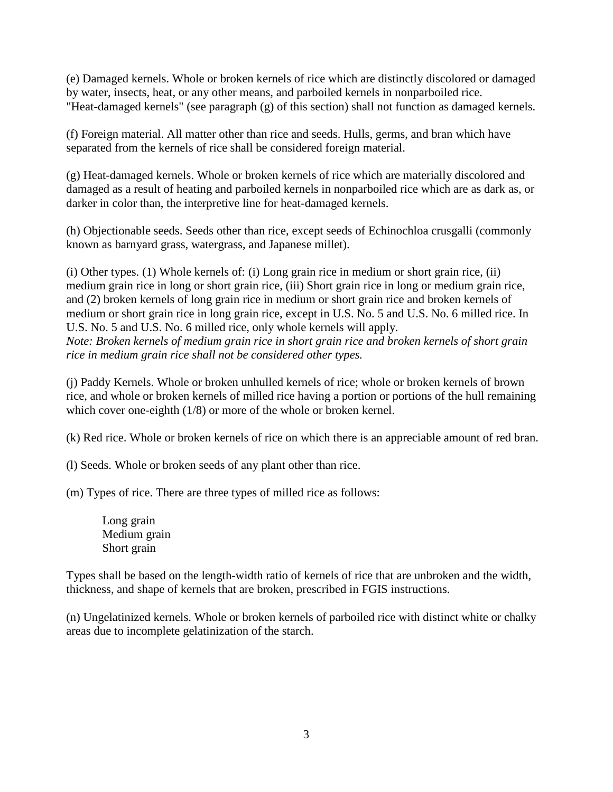(e) Damaged kernels. Whole or broken kernels of rice which are distinctly discolored or damaged by water, insects, heat, or any other means, and parboiled kernels in nonparboiled rice. "Heat-damaged kernels" (see paragraph (g) of this section) shall not function as damaged kernels.

(f) Foreign material. All matter other than rice and seeds. Hulls, germs, and bran which have separated from the kernels of rice shall be considered foreign material.

(g) Heat-damaged kernels. Whole or broken kernels of rice which are materially discolored and damaged as a result of heating and parboiled kernels in nonparboiled rice which are as dark as, or darker in color than, the interpretive line for heat-damaged kernels.

(h) Objectionable seeds. Seeds other than rice, except seeds of Echinochloa crusgalli (commonly known as barnyard grass, watergrass, and Japanese millet).

(i) Other types. (1) Whole kernels of: (i) Long grain rice in medium or short grain rice, (ii) medium grain rice in long or short grain rice, (iii) Short grain rice in long or medium grain rice, and (2) broken kernels of long grain rice in medium or short grain rice and broken kernels of medium or short grain rice in long grain rice, except in U.S. No. 5 and U.S. No. 6 milled rice. In U.S. No. 5 and U.S. No. 6 milled rice, only whole kernels will apply.

*Note: Broken kernels of medium grain rice in short grain rice and broken kernels of short grain rice in medium grain rice shall not be considered other types.*

(j) Paddy Kernels. Whole or broken unhulled kernels of rice; whole or broken kernels of brown rice, and whole or broken kernels of milled rice having a portion or portions of the hull remaining which cover one-eighth (1/8) or more of the whole or broken kernel.

(k) Red rice. Whole or broken kernels of rice on which there is an appreciable amount of red bran.

(l) Seeds. Whole or broken seeds of any plant other than rice.

(m) Types of rice. There are three types of milled rice as follows:

Long grain Medium grain Short grain

Types shall be based on the length-width ratio of kernels of rice that are unbroken and the width, thickness, and shape of kernels that are broken, prescribed in FGIS instructions.

(n) Ungelatinized kernels. Whole or broken kernels of parboiled rice with distinct white or chalky areas due to incomplete gelatinization of the starch.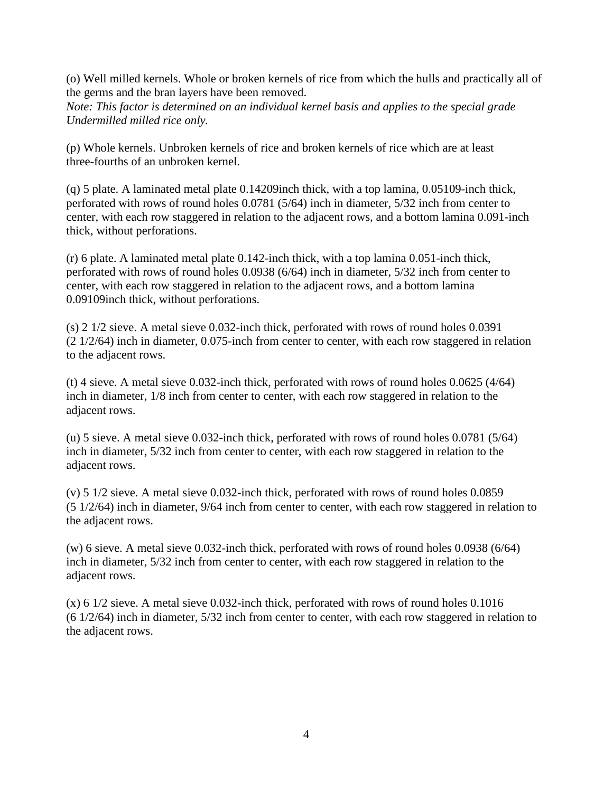(o) Well milled kernels. Whole or broken kernels of rice from which the hulls and practically all of the germs and the bran layers have been removed.

*Note: This factor is determined on an individual kernel basis and applies to the special grade Undermilled milled rice only.* 

(p) Whole kernels. Unbroken kernels of rice and broken kernels of rice which are at least three-fourths of an unbroken kernel.

(q) 5 plate. A laminated metal plate 0.14209inch thick, with a top lamina, 0.05109-inch thick, perforated with rows of round holes 0.0781 (5/64) inch in diameter, 5/32 inch from center to center, with each row staggered in relation to the adjacent rows, and a bottom lamina 0.091-inch thick, without perforations.

(r) 6 plate. A laminated metal plate 0.142-inch thick, with a top lamina 0.051-inch thick, perforated with rows of round holes 0.0938 (6/64) inch in diameter, 5/32 inch from center to center, with each row staggered in relation to the adjacent rows, and a bottom lamina 0.09109inch thick, without perforations.

(s) 2 1/2 sieve. A metal sieve 0.032-inch thick, perforated with rows of round holes 0.0391 (2 1/2/64) inch in diameter, 0.075-inch from center to center, with each row staggered in relation to the adjacent rows.

(t) 4 sieve. A metal sieve 0.032-inch thick, perforated with rows of round holes 0.0625 (4/64) inch in diameter, 1/8 inch from center to center, with each row staggered in relation to the adjacent rows.

(u) 5 sieve. A metal sieve 0.032-inch thick, perforated with rows of round holes 0.0781 (5/64) inch in diameter, 5/32 inch from center to center, with each row staggered in relation to the adjacent rows.

(v) 5 1/2 sieve. A metal sieve 0.032-inch thick, perforated with rows of round holes 0.0859 (5 1/2/64) inch in diameter, 9/64 inch from center to center, with each row staggered in relation to the adjacent rows.

(w) 6 sieve. A metal sieve 0.032-inch thick, perforated with rows of round holes 0.0938 (6/64) inch in diameter, 5/32 inch from center to center, with each row staggered in relation to the adjacent rows.

(x) 6 1/2 sieve. A metal sieve 0.032-inch thick, perforated with rows of round holes 0.1016 (6 1/2/64) inch in diameter, 5/32 inch from center to center, with each row staggered in relation to the adjacent rows.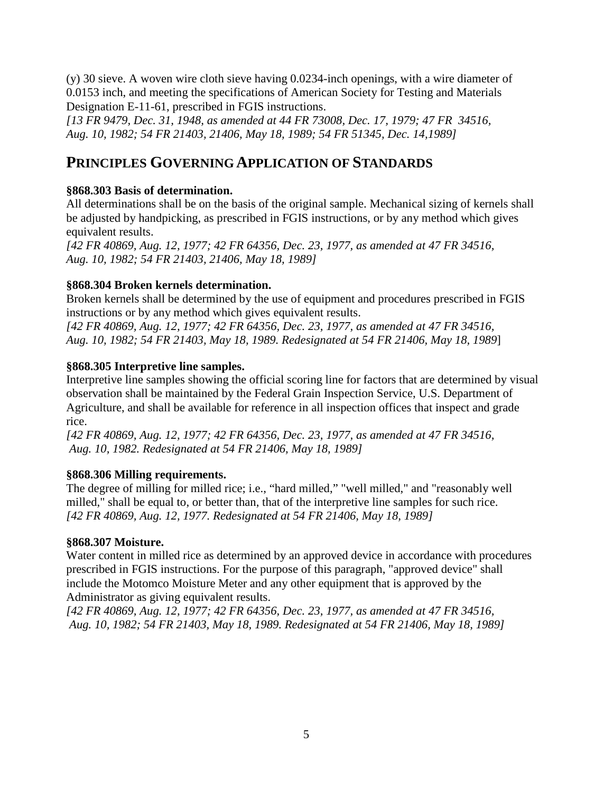(y) 30 sieve. A woven wire cloth sieve having 0.0234-inch openings, with a wire diameter of 0.0153 inch, and meeting the specifications of American Society for Testing and Materials Designation E-11-61, prescribed in FGIS instructions.

*[13 FR 9479, Dec. 31, 1948, as amended at 44 FR 73008, Dec. 17, 1979; 47 FR 34516, Aug. 10, 1982; 54 FR 21403, 21406, May 18, 1989; 54 FR 51345, Dec. 14,1989]*

# <span id="page-24-0"></span>**PRINCIPLES GOVERNING APPLICATION OF STANDARDS**

#### <span id="page-24-1"></span>**§868.303 Basis of determination.**

All determinations shall be on the basis of the original sample. Mechanical sizing of kernels shall be adjusted by handpicking, as prescribed in FGIS instructions, or by any method which gives equivalent results.

*[42 FR 40869, Aug. 12, 1977; 42 FR 64356, Dec. 23, 1977, as amended at 47 FR 34516, Aug. 10, 1982; 54 FR 21403, 21406, May 18, 1989]* 

#### <span id="page-24-2"></span>**§868.304 Broken kernels determination.**

Broken kernels shall be determined by the use of equipment and procedures prescribed in FGIS instructions or by any method which gives equivalent results.

*[42 FR 40869, Aug. 12, 1977; 42 FR 64356, Dec. 23, 1977, as amended at 47 FR 34516, Aug. 10, 1982; 54 FR 21403, May 18, 1989. Redesignated at 54 FR 21406, May 18, 1989*]

#### <span id="page-24-3"></span>**§868.305 Interpretive line samples.**

Interpretive line samples showing the official scoring line for factors that are determined by visual observation shall be maintained by the Federal Grain Inspection Service, U.S. Department of Agriculture, and shall be available for reference in all inspection offices that inspect and grade rice.

*[42 FR 40869, Aug. 12, 1977; 42 FR 64356, Dec. 23, 1977, as amended at 47 FR 34516, Aug. 10, 1982. Redesignated at 54 FR 21406, May 18, 1989]*

#### <span id="page-24-4"></span>**§868.306 Milling requirements.**

The degree of milling for milled rice; i.e., "hard milled," "well milled," and "reasonably well milled," shall be equal to, or better than, that of the interpretive line samples for such rice. *[42 FR 40869, Aug. 12, 1977. Redesignated at 54 FR 21406, May 18, 1989]*

#### <span id="page-24-5"></span>**§868.307 Moisture.**

Water content in milled rice as determined by an approved device in accordance with procedures prescribed in FGIS instructions. For the purpose of this paragraph, "approved device" shall include the Motomco Moisture Meter and any other equipment that is approved by the Administrator as giving equivalent results.

*[42 FR 40869, Aug. 12, 1977; 42 FR 64356, Dec. 23, 1977, as amended at 47 FR 34516, Aug. 10, 1982; 54 FR 21403, May 18, 1989. Redesignated at 54 FR 21406, May 18, 1989]*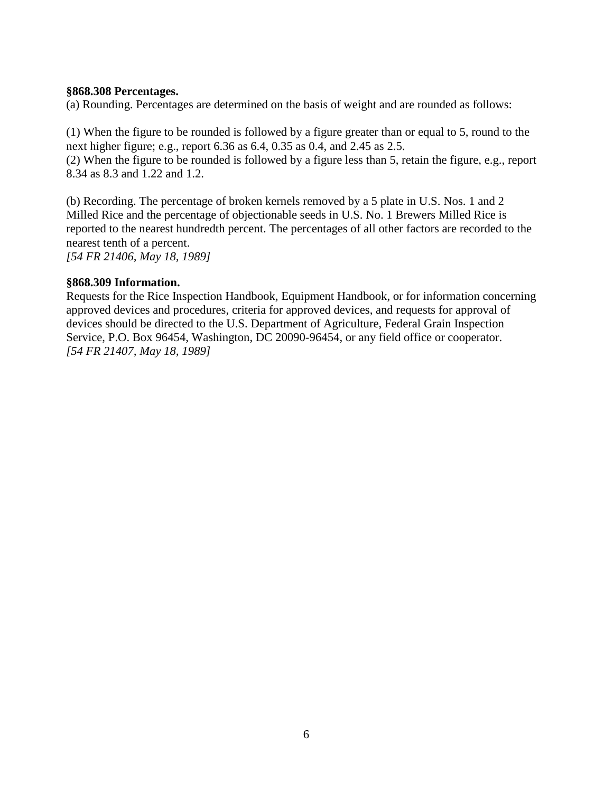#### <span id="page-25-0"></span>**§868.308 Percentages.**

(a) Rounding. Percentages are determined on the basis of weight and are rounded as follows:

(1) When the figure to be rounded is followed by a figure greater than or equal to 5, round to the next higher figure; e.g., report 6.36 as 6.4, 0.35 as 0.4, and 2.45 as 2.5. (2) When the figure to be rounded is followed by a figure less than 5, retain the figure, e.g., report 8.34 as 8.3 and 1.22 and 1.2.

(b) Recording. The percentage of broken kernels removed by a 5 plate in U.S. Nos. 1 and 2 Milled Rice and the percentage of objectionable seeds in U.S. No. 1 Brewers Milled Rice is reported to the nearest hundredth percent. The percentages of all other factors are recorded to the nearest tenth of a percent.

<span id="page-25-1"></span>*[54 FR 21406, May 18, 1989]* 

#### **§868.309 Information.**

Requests for the Rice Inspection Handbook, Equipment Handbook, or for information concerning approved devices and procedures, criteria for approved devices, and requests for approval of devices should be directed to the U.S. Department of Agriculture, Federal Grain Inspection Service, P.O. Box 96454, Washington, DC 20090-96454, or any field office or cooperator. *[54 FR 21407, May 18, 1989]*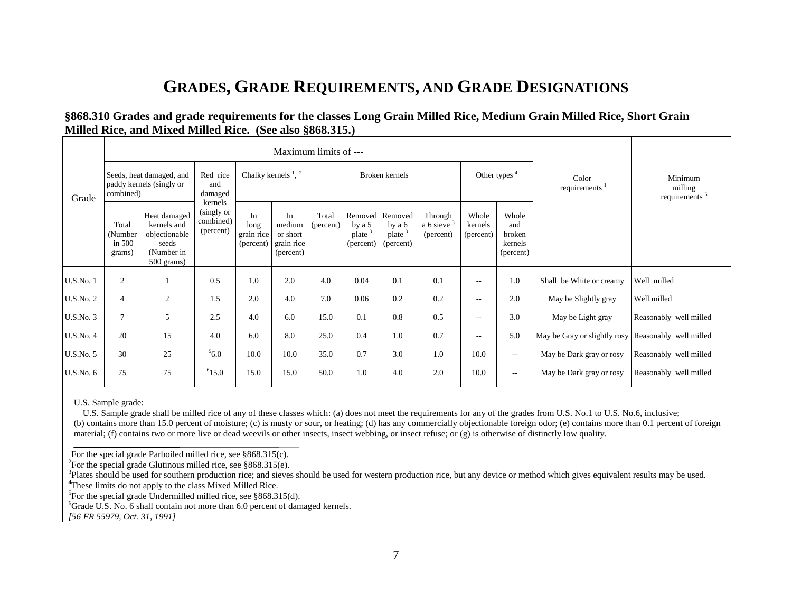# **GRADES, GRADE REQUIREMENTS, AND GRADE DESIGNATIONS**

#### **§868.310 Grades and grade requirements for the classes Long Grain Milled Rice, Medium Grain Milled Rice, Short Grain Milled Rice, and Mixed Milled Rice. (See also §868.315.)**

<span id="page-26-0"></span>

|       |                  | Maximum limits of ---                                             |                                                                                     |                                                 |                                              |                                                               |                       |                                  |                                                     |                                       |                               |                                                |                                                     |                                                 |
|-------|------------------|-------------------------------------------------------------------|-------------------------------------------------------------------------------------|-------------------------------------------------|----------------------------------------------|---------------------------------------------------------------|-----------------------|----------------------------------|-----------------------------------------------------|---------------------------------------|-------------------------------|------------------------------------------------|-----------------------------------------------------|-------------------------------------------------|
| Grade |                  | Seeds, heat damaged, and<br>paddy kernels (singly or<br>combined) |                                                                                     | Red rice<br>and<br>damaged                      | Chalky kernels $\frac{1}{2}$ , $\frac{2}{3}$ |                                                               | <b>Broken</b> kernels |                                  |                                                     |                                       | Other types <sup>4</sup>      |                                                | Color<br>requirements <sup>1</sup>                  | Minimum<br>milling<br>requirements <sup>5</sup> |
|       |                  | Total<br>(Number<br>in 500<br>grams)                              | Heat damaged<br>kernels and<br>objectionable<br>seeds<br>(Number in<br>$500$ grams) | kernels<br>(singly or<br>combined)<br>(percent) | In<br>long<br>grain rice                     | In<br>medium<br>or short<br>(percent) grain rice<br>(percent) | Total<br>(percent)    | by a 5<br>$plate^3$<br>(percent) | Removed Removed<br>by a 6<br>$plate^3$<br>(percent) | Through<br>a 6 sieve $3$<br>(percent) | Whole<br>kernels<br>(percent) | Whole<br>and<br>broken<br>kernels<br>(percent) |                                                     |                                                 |
|       | <b>U.S.No. 1</b> | $\overline{2}$                                                    |                                                                                     | 0.5                                             | 1.0                                          | 2.0                                                           | 4.0                   | 0.04                             | 0.1                                                 | 0.1                                   | $\overline{\phantom{a}}$      | 1.0                                            | Shall be White or creamy                            | Well milled                                     |
|       | <b>U.S.No. 2</b> | $\overline{4}$                                                    | 2                                                                                   | 1.5                                             | 2.0                                          | 4.0                                                           | 7.0                   | 0.06                             | 0.2                                                 | 0.2                                   | $\overline{\phantom{a}}$      | 2.0                                            | May be Slightly gray                                | Well milled                                     |
|       | U.S.No. 3        | $\tau$                                                            | 5                                                                                   | 2.5                                             | 4.0                                          | 6.0                                                           | 15.0                  | 0.1                              | 0.8                                                 | 0.5                                   | $\overline{\phantom{a}}$      | 3.0                                            | May be Light gray                                   | Reasonably well milled                          |
|       | <b>U.S.No. 4</b> | 20                                                                | 15                                                                                  | 4.0                                             | 6.0                                          | 8.0                                                           | 25.0                  | 0.4                              | 1.0                                                 | 0.7                                   | $\overline{\phantom{a}}$      | 5.0                                            | May be Gray or slightly rosy Reasonably well milled |                                                 |
|       | U.S.No. 5        | 30                                                                | 25                                                                                  | 56.0                                            | 10.0                                         | 10.0                                                          | 35.0                  | 0.7                              | 3.0                                                 | 1.0                                   | 10.0                          | $- -$                                          | May be Dark gray or rosy                            | Reasonably well milled                          |
|       | U.S.No. 6        | 75                                                                | 75                                                                                  | 615.0                                           | 15.0                                         | 15.0                                                          | 50.0                  | 1.0                              | 4.0                                                 | 2.0                                   | 10.0                          | $\sim$ $\sim$                                  | May be Dark gray or rosy                            | Reasonably well milled                          |
|       |                  |                                                                   |                                                                                     |                                                 |                                              |                                                               |                       |                                  |                                                     |                                       |                               |                                                |                                                     |                                                 |

<span id="page-26-1"></span>U.S. Sample grade:

U.S. Sample grade shall be milled rice of any of these classes which: (a) does not meet the requirements for any of the grades from U.S. No.1 to U.S. No.6, inclusive; (b) contains more than 15.0 percent of moisture; (c) is musty or sour, or heating; (d) has any commercially objectionable foreign odor; (e) contains more than 0.1 percent of foreign material; (f) contains two or more live or dead weevils or other insects, insect webbing, or insect refuse; or (g) is otherwise of distinctly low quality.

<sup>1</sup>For the special grade Parboiled milled rice, see  $§868.315(c)$ .

<sup>2</sup>For the special grade Glutinous milled rice, see  $§868.315(e)$ .

<sup>3</sup>Plates should be used for southern production rice; and sieves should be used for western production rice, but any device or method which gives equivalent results may be used.<br><sup>4</sup>These limits do not apply to the class M

<sup>4</sup>These limits do not apply to the class Mixed Milled Rice.

<sup>5</sup>For the special grade Undermilled milled rice, see §868.315(d).

<sup>6</sup>Grade U.S. No. 6 shall contain not more than 6.0 percent of damaged kernels.

*[56 FR 55979, Oct. 31, 1991]*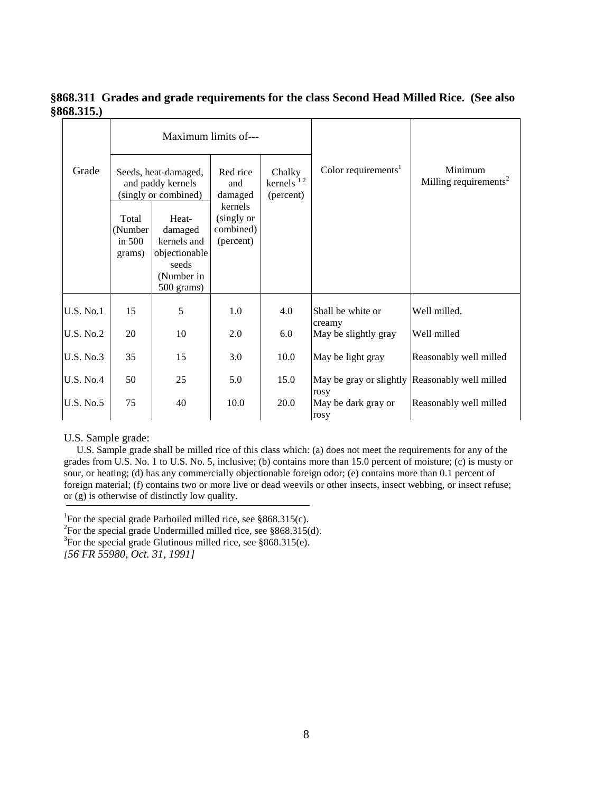<span id="page-27-0"></span>**§868.311 Grades and grade requirements for the class Second Head Milled Rice. (See also §868.315.)**

|                  |                                                                   |                                                                                       | Maximum limits of---                            |                                                              |                                                        |                                              |
|------------------|-------------------------------------------------------------------|---------------------------------------------------------------------------------------|-------------------------------------------------|--------------------------------------------------------------|--------------------------------------------------------|----------------------------------------------|
| Grade            | Seeds, heat-damaged,<br>and paddy kernels<br>(singly or combined) |                                                                                       | Red rice<br>and<br>damaged                      | Chalky<br>$k$ ernels <sup><math>12</math></sup><br>(percent) | Color requirements <sup>1</sup>                        | Minimum<br>Milling requirements <sup>2</sup> |
|                  | Total<br>(Number<br>in $500$<br>grams)                            | Heat-<br>damaged<br>kernels and<br>objectionable<br>seeds<br>(Number in<br>500 grams) | kernels<br>(singly or<br>combined)<br>(percent) |                                                              |                                                        |                                              |
| $U.S.$ No.1      | 15                                                                | 5                                                                                     | 1.0                                             | 4.0                                                          | Shall be white or                                      | Well milled.                                 |
| $U.S.$ No.2      | 20                                                                | 10                                                                                    | 2.0                                             | 6.0                                                          | creamy<br>May be slightly gray                         | Well milled                                  |
| <b>U.S. No.3</b> | 35                                                                | 15                                                                                    | 3.0                                             | 10.0                                                         | May be light gray                                      | Reasonably well milled                       |
| <b>U.S. No.4</b> | 50                                                                | 25                                                                                    | 5.0                                             | 15.0                                                         | May be gray or slightly Reasonably well milled<br>rosy |                                              |
| <b>U.S. No.5</b> | 75                                                                | 40                                                                                    | 10.0                                            | 20.0                                                         | May be dark gray or<br>rosy                            | Reasonably well milled                       |

#### U.S. Sample grade:

 U.S. Sample grade shall be milled rice of this class which: (a) does not meet the requirements for any of the grades from U.S. No. 1 to U.S. No. 5, inclusive; (b) contains more than 15.0 percent of moisture; (c) is musty or sour, or heating; (d) has any commercially objectionable foreign odor; (e) contains more than 0.1 percent of foreign material; (f) contains two or more live or dead weevils or other insects, insect webbing, or insect refuse; or (g) is otherwise of distinctly low quality.

<sup>1</sup>For the special grade Parboiled milled rice, see  $§868.315(c)$ . <sup>2</sup>For the special grade Undermilled milled rice, see  $$868.315(d)$ . <sup>3</sup>For the special grade Glutinous milled rice, see §868.315(e). *[56 FR 55980, Oct. 31, 1991]*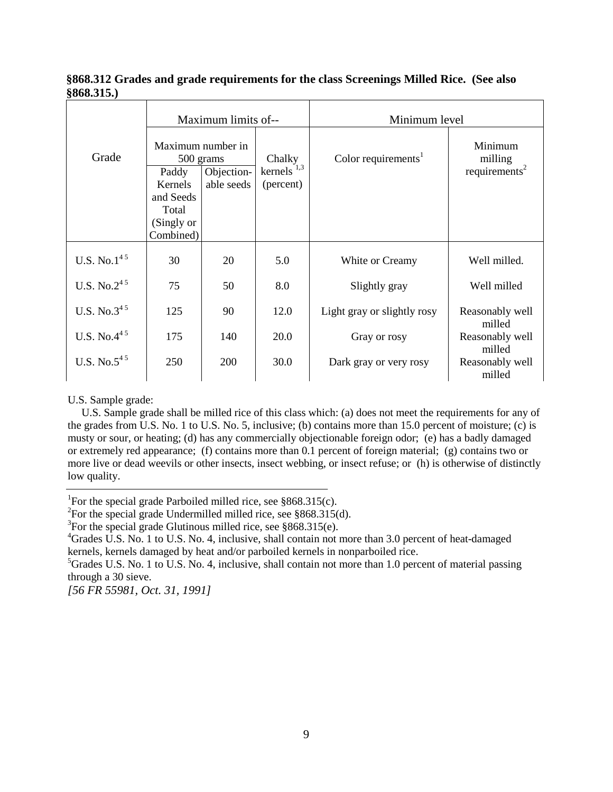|                   | Maximum limits of-- |            |                                        | Minimum level               |                                 |                    |  |  |
|-------------------|---------------------|------------|----------------------------------------|-----------------------------|---------------------------------|--------------------|--|--|
| Grade             | Maximum number in   |            | 500 grams<br>Chalky                    |                             | Color requirements <sup>1</sup> | Minimum<br>milling |  |  |
|                   | Paddy               | Objection- | $k$ ernels <sup><math>1,3</math></sup> |                             | requirements <sup>2</sup>       |                    |  |  |
|                   | Kernels             | able seeds | (percent)                              |                             |                                 |                    |  |  |
|                   | and Seeds           |            |                                        |                             |                                 |                    |  |  |
|                   | Total               |            |                                        |                             |                                 |                    |  |  |
|                   | (Singly or          |            |                                        |                             |                                 |                    |  |  |
|                   | Combined)           |            |                                        |                             |                                 |                    |  |  |
| U.S. No. $1^{45}$ | 30                  | 20         | 5.0                                    | White or Creamy             | Well milled.                    |                    |  |  |
| U.S. No. $2^{45}$ | 75                  | 50         | 8.0                                    | Slightly gray               | Well milled                     |                    |  |  |
| U.S. No. $3^{45}$ | 125                 | 90         | 12.0                                   | Light gray or slightly rosy | Reasonably well<br>milled       |                    |  |  |
| U.S. No. $4^{45}$ | 175                 | 140        | 20.0                                   | Gray or rosy                | Reasonably well<br>milled       |                    |  |  |
| U.S. No. $5^{45}$ | 250                 | 200        | 30.0                                   | Dark gray or very rosy      | Reasonably well<br>milled       |                    |  |  |

**§868.312 Grades and grade requirements for the class Screenings Milled Rice. (See also §868.315.)**

U.S. Sample grade:

 U.S. Sample grade shall be milled rice of this class which: (a) does not meet the requirements for any of the grades from U.S. No. 1 to U.S. No. 5, inclusive; (b) contains more than 15.0 percent of moisture; (c) is musty or sour, or heating; (d) has any commercially objectionable foreign odor; (e) has a badly damaged or extremely red appearance; (f) contains more than 0.1 percent of foreign material; (g) contains two or more live or dead weevils or other insects, insect webbing, or insect refuse; or (h) is otherwise of distinctly low quality.

<sup>1</sup>For the special grade Parboiled milled rice, see  $§868.315(c)$ .

<sup>2</sup>For the special grade Undermilled milled rice, see  $$868.315(d)$ .

<sup>3</sup>For the special grade Glutinous milled rice, see  $§868.315(e)$ .

<sup>4</sup>Grades U.S. No. 1 to U.S. No. 4, inclusive, shall contain not more than 3.0 percent of heat-damaged kernels, kernels damaged by heat and/or parboiled kernels in nonparboiled rice.

<sup>5</sup>Grades U.S. No. 1 to U.S. No. 4, inclusive, shall contain not more than 1.0 percent of material passing through a 30 sieve.

*[56 FR 55981, Oct. 31, 1991]*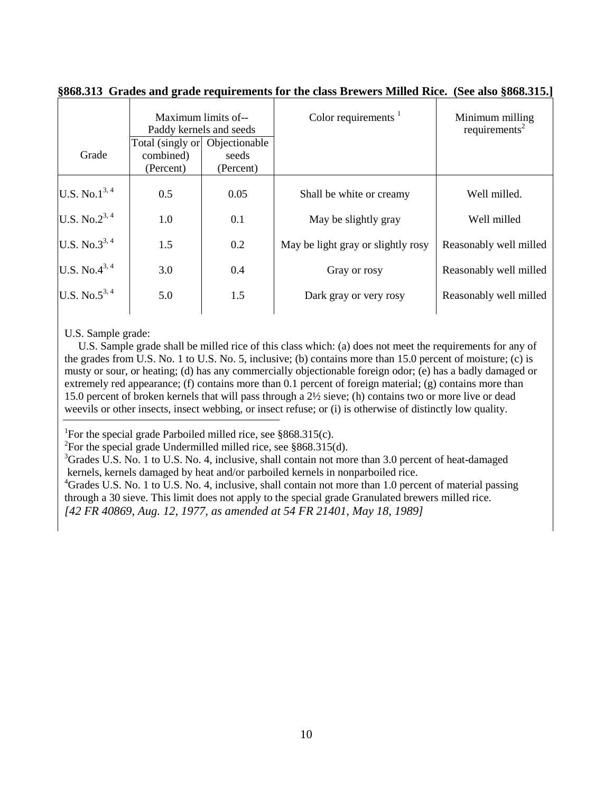|                     | Maximum limits of--<br>Paddy kernels and seeds |                                     | Color requirements $1$             | Minimum milling<br>requirements <sup>2</sup> |
|---------------------|------------------------------------------------|-------------------------------------|------------------------------------|----------------------------------------------|
| Grade               | Total (singly or<br>combined)<br>(Percent)     | Objectionable<br>seeds<br>(Percent) |                                    |                                              |
|                     |                                                |                                     |                                    |                                              |
| U.S. No. $1^{3, 4}$ | 0.5                                            | 0.05                                | Shall be white or creamy           | Well milled.                                 |
| U.S. No. $2^{3, 4}$ | 1.0                                            | 0.1                                 | May be slightly gray               | Well milled                                  |
| U.S. No.3 $3,4$     | 1.5                                            | 0.2                                 | May be light gray or slightly rosy | Reasonably well milled                       |
| U.S. No. $4^{3, 4}$ | 3.0                                            | 0.4                                 | Gray or rosy                       | Reasonably well milled                       |
| U.S. No. $5^{3, 4}$ | 5.0                                            | 1.5                                 | Dark gray or very rosy             | Reasonably well milled                       |
|                     |                                                |                                     |                                    |                                              |

<span id="page-29-0"></span>**§868.313 Grades and grade requirements for the class Brewers Milled Rice. (See also §868.315.]**

U.S. Sample grade:

 U.S. Sample grade shall be milled rice of this class which: (a) does not meet the requirements for any of the grades from U.S. No. 1 to U.S. No. 5, inclusive; (b) contains more than 15.0 percent of moisture; (c) is musty or sour, or heating; (d) has any commercially objectionable foreign odor; (e) has a badly damaged or extremely red appearance; (f) contains more than 0.1 percent of foreign material; (g) contains more than 15.0 percent of broken kernels that will pass through a 2½ sieve; (h) contains two or more live or dead weevils or other insects, insect webbing, or insect refuse; or (i) is otherwise of distinctly low quality.

<sup>1</sup>For the special grade Parboiled milled rice, see §868.315(c).

<sup>2</sup>For the special grade Undermilled milled rice, see  $$868.315(d)$ .

<sup>3</sup>Grades U.S. No. 1 to U.S. No. 4, inclusive, shall contain not more than 3.0 percent of heat-damaged kernels, kernels damaged by heat and/or parboiled kernels in nonparboiled rice.

<sup>4</sup>Grades U.S. No. 1 to U.S. No. 4, inclusive, shall contain not more than 1.0 percent of material passing through a 30 sieve. This limit does not apply to the special grade Granulated brewers milled rice. *[42 FR 40869, Aug. 12, 1977, as amended at 54 FR 21401, May 18, 1989]*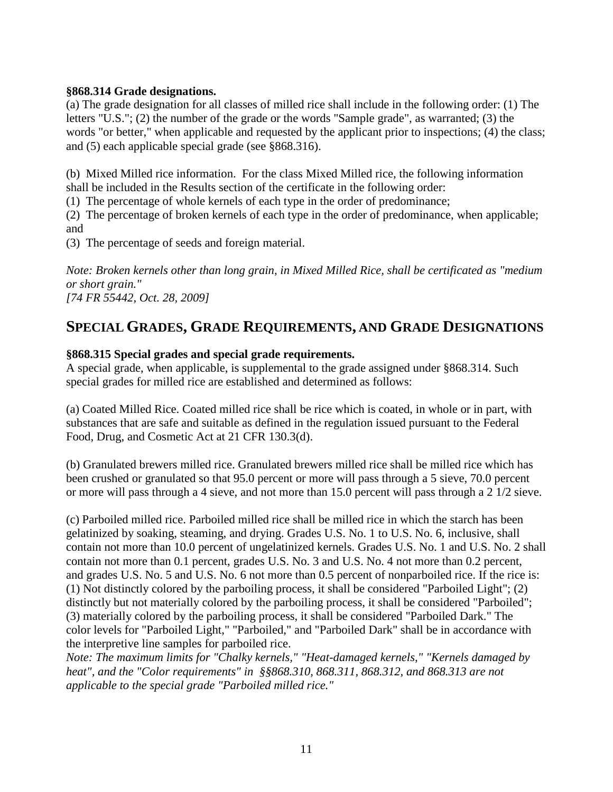#### <span id="page-30-0"></span>**§868.314 Grade designations.**

<span id="page-30-1"></span>(a) The grade designation for all classes of milled rice shall include in the following order: (1) The letters "U.S."; (2) the number of the grade or the words "Sample grade", as warranted; (3) the words "or better," when applicable and requested by the applicant prior to inspections; (4) the class; and (5) each applicable special grade (see §868.316).

(b) Mixed Milled rice information. For the class Mixed Milled rice, the following information shall be included in the Results section of the certificate in the following order:

(1) The percentage of whole kernels of each type in the order of predominance;

(2) The percentage of broken kernels of each type in the order of predominance, when applicable; and

(3) The percentage of seeds and foreign material.

*Note: Broken kernels other than long grain, in Mixed Milled Rice, shall be certificated as "medium or short grain." [74 FR 55442, Oct. 28, 2009]*

# **SPECIAL GRADES, GRADE REQUIREMENTS, AND GRADE DESIGNATIONS**

#### <span id="page-30-2"></span>**§868.315 Special grades and special grade requirements.**

A special grade, when applicable, is supplemental to the grade assigned under §868.314. Such special grades for milled rice are established and determined as follows:

(a) Coated Milled Rice. Coated milled rice shall be rice which is coated, in whole or in part, with substances that are safe and suitable as defined in the regulation issued pursuant to the Federal Food, Drug, and Cosmetic Act at 21 CFR 130.3(d).

(b) Granulated brewers milled rice. Granulated brewers milled rice shall be milled rice which has been crushed or granulated so that 95.0 percent or more will pass through a 5 sieve, 70.0 percent or more will pass through a 4 sieve, and not more than 15.0 percent will pass through a 2 1/2 sieve.

(c) Parboiled milled rice. Parboiled milled rice shall be milled rice in which the starch has been gelatinized by soaking, steaming, and drying. Grades U.S. No. 1 to U.S. No. 6, inclusive, shall contain not more than 10.0 percent of ungelatinized kernels. Grades U.S. No. 1 and U.S. No. 2 shall contain not more than 0.1 percent, grades U.S. No. 3 and U.S. No. 4 not more than 0.2 percent, and grades U.S. No. 5 and U.S. No. 6 not more than 0.5 percent of nonparboiled rice. If the rice is: (1) Not distinctly colored by the parboiling process, it shall be considered "Parboiled Light"; (2) distinctly but not materially colored by the parboiling process, it shall be considered "Parboiled"; (3) materially colored by the parboiling process, it shall be considered "Parboiled Dark." The color levels for "Parboiled Light," "Parboiled," and "Parboiled Dark" shall be in accordance with the interpretive line samples for parboiled rice.

*Note: The maximum limits for "Chalky kernels," "Heat-damaged kernels," "Kernels damaged by heat", and the "Color requirements" in §§868.310, 868.311, 868.312, and 868.313 are not applicable to the special grade "Parboiled milled rice."*